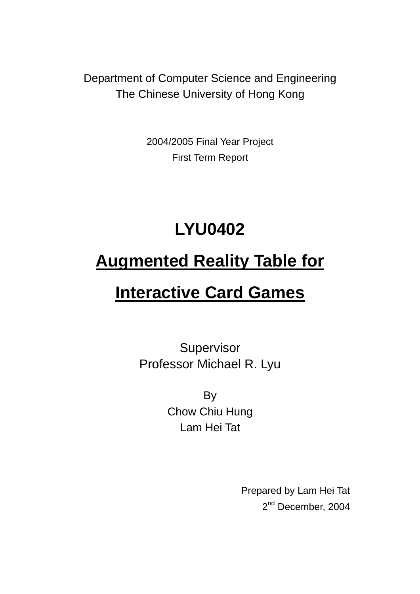Department of Computer Science and Engineering The Chinese University of Hong Kong

> 2004/2005 Final Year Project First Term Report

# **LYU0402**

# **Augmented Reality Table for**

# **Interactive Card Games**

Supervisor Professor Michael R. Lyu

> **By** Chow Chiu Hung Lam Hei Tat

> > Prepared by Lam Hei Tat 2<sup>nd</sup> December, 2004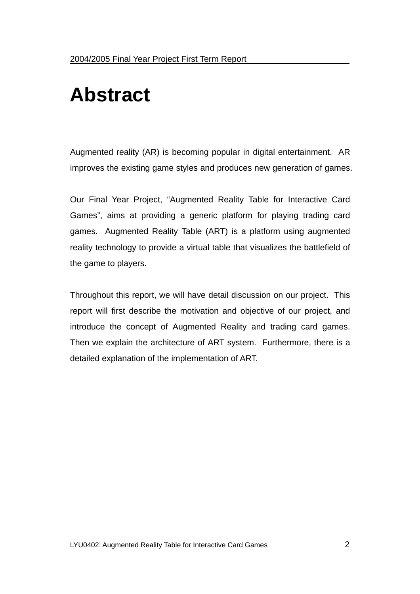# **Abstract**

Augmented reality (AR) is becoming popular in digital entertainment. AR improves the existing game styles and produces new generation of games.

Our Final Year Project, "Augmented Reality Table for Interactive Card Games", aims at providing a generic platform for playing trading card games. Augmented Reality Table (ART) is a platform using augmented reality technology to provide a virtual table that visualizes the battlefield of the game to players.

Throughout this report, we will have detail discussion on our project. This report will first describe the motivation and objective of our project, and introduce the concept of Augmented Reality and trading card games. Then we explain the architecture of ART system. Furthermore, there is a detailed explanation of the implementation of ART.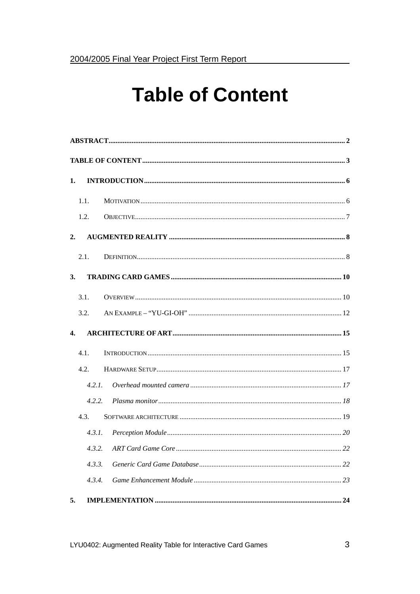# **Table of Content**

| 1.                        |        |  |  |  |  |  |  |
|---------------------------|--------|--|--|--|--|--|--|
|                           | 1.1.   |  |  |  |  |  |  |
|                           | 1.2.   |  |  |  |  |  |  |
| 2.                        |        |  |  |  |  |  |  |
|                           | 2.1.   |  |  |  |  |  |  |
| 3.                        |        |  |  |  |  |  |  |
|                           | 3.1.   |  |  |  |  |  |  |
|                           | 3.2.   |  |  |  |  |  |  |
| $\overline{\mathbf{4}}$ . |        |  |  |  |  |  |  |
|                           | 4.1.   |  |  |  |  |  |  |
|                           | 4.2.   |  |  |  |  |  |  |
|                           | 4.2.1. |  |  |  |  |  |  |
|                           | 4.2.2. |  |  |  |  |  |  |
|                           | 4.3.   |  |  |  |  |  |  |
|                           | 4.3.1. |  |  |  |  |  |  |
|                           | 4.3.2. |  |  |  |  |  |  |
|                           | 4.3.3. |  |  |  |  |  |  |
|                           | 4.3.4. |  |  |  |  |  |  |
| 5.                        |        |  |  |  |  |  |  |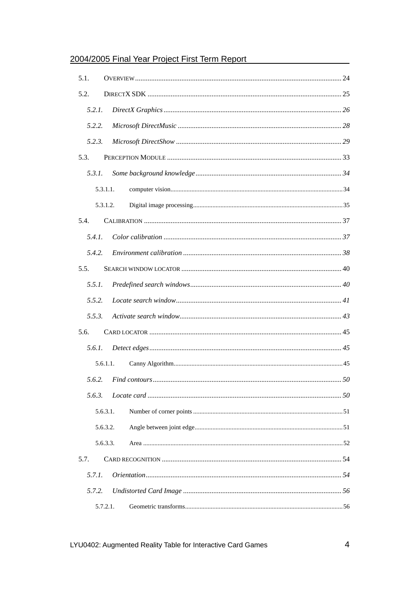| 5.1.   |          |  |
|--------|----------|--|
| 5.2.   |          |  |
| 5.2.1. |          |  |
| 5.2.2. |          |  |
| 5.2.3. |          |  |
| 5.3.   |          |  |
| 5.3.1. |          |  |
|        | 5.3.1.1. |  |
|        | 5.3.1.2. |  |
| 5.4.   |          |  |
| 5.4.1. |          |  |
| 5.4.2. |          |  |
| 5.5.   |          |  |
| 5.5.1. |          |  |
| 5.5.2. |          |  |
| 5.5.3. |          |  |
| 5.6.   |          |  |
| 5.6.1  |          |  |
|        | 5.6.1.1. |  |
| 5.6.2. |          |  |
| 5.6.3. |          |  |
|        | 5.6.3.1. |  |
|        | 5.6.3.2. |  |
|        | 5.6.3.3. |  |
| 5.7.   |          |  |
| 5.7.1. |          |  |
| 5.7.2. |          |  |
|        | 5.7.2.1. |  |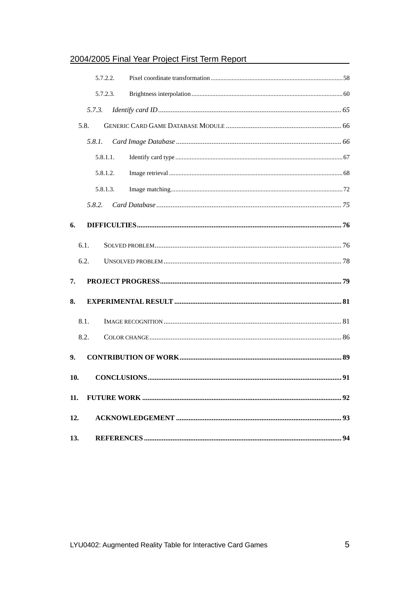|     | 5.7.2.2. |  |
|-----|----------|--|
|     | 5.7.2.3. |  |
|     | 5.7.3.   |  |
|     | 5.8.     |  |
|     | 5.8.1.   |  |
|     | 5.8.1.1. |  |
|     | 5.8.1.2. |  |
|     | 5.8.1.3. |  |
|     | 5.8.2.   |  |
| 6.  |          |  |
|     | 6.1.     |  |
|     | 6.2.     |  |
| 7.  |          |  |
| 8.  |          |  |
|     | 8.1.     |  |
|     | 8.2.     |  |
| 9.  |          |  |
| 10. |          |  |
| 11. |          |  |
| 12. |          |  |
| 13. |          |  |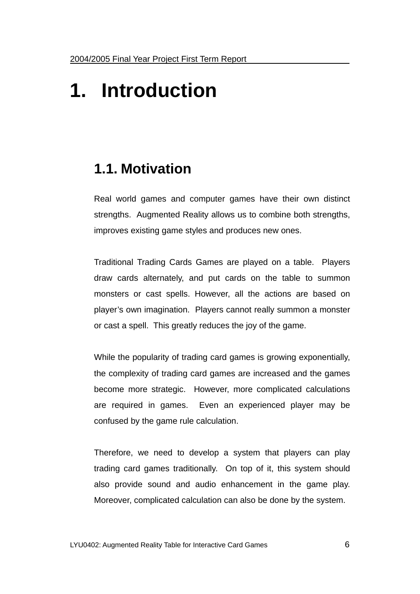# **1. Introduction**

# **1.1. Motivation**

Real world games and computer games have their own distinct strengths. Augmented Reality allows us to combine both strengths, improves existing game styles and produces new ones.

Traditional Trading Cards Games are played on a table. Players draw cards alternately, and put cards on the table to summon monsters or cast spells. However, all the actions are based on player's own imagination. Players cannot really summon a monster or cast a spell. This greatly reduces the joy of the game.

While the popularity of trading card games is growing exponentially, the complexity of trading card games are increased and the games become more strategic. However, more complicated calculations are required in games. Even an experienced player may be confused by the game rule calculation.

Therefore, we need to develop a system that players can play trading card games traditionally. On top of it, this system should also provide sound and audio enhancement in the game play. Moreover, complicated calculation can also be done by the system.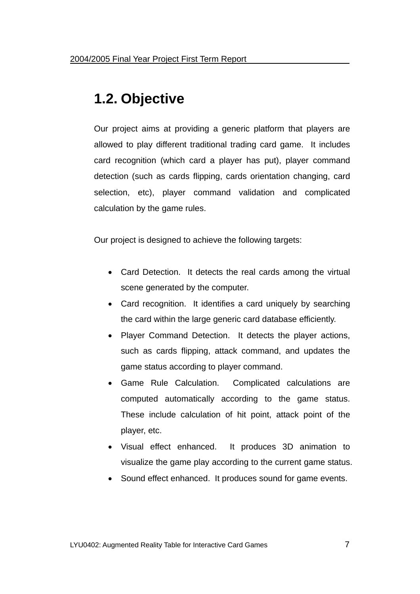# **1.2. Objective**

Our project aims at providing a generic platform that players are allowed to play different traditional trading card game. It includes card recognition (which card a player has put), player command detection (such as cards flipping, cards orientation changing, card selection, etc), player command validation and complicated calculation by the game rules.

Our project is designed to achieve the following targets:

- Card Detection. It detects the real cards among the virtual scene generated by the computer.
- Card recognition. It identifies a card uniquely by searching the card within the large generic card database efficiently.
- Player Command Detection. It detects the player actions, such as cards flipping, attack command, and updates the game status according to player command.
- Game Rule Calculation. Complicated calculations are computed automatically according to the game status. These include calculation of hit point, attack point of the player, etc.
- Visual effect enhanced. It produces 3D animation to visualize the game play according to the current game status.
- Sound effect enhanced. It produces sound for game events.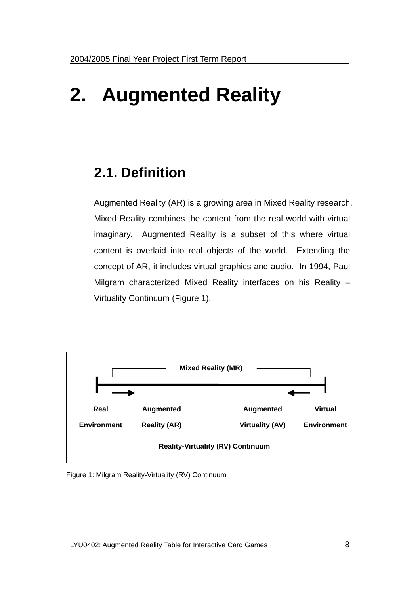# **2. Augmented Reality**

# **2.1. Definition**

Augmented Reality (AR) is a growing area in Mixed Reality research. Mixed Reality combines the content from the real world with virtual imaginary. Augmented Reality is a subset of this where virtual content is overlaid into real objects of the world. Extending the concept of AR, it includes virtual graphics and audio. In 1994, Paul Milgram characterized Mixed Reality interfaces on his Reality – Virtuality Continuum (Figure 1).



Figure 1: Milgram Reality-Virtuality (RV) Continuum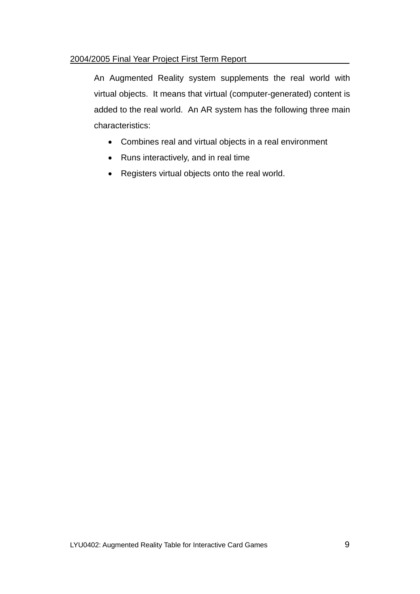An Augmented Reality system supplements the real world with virtual objects. It means that virtual (computer-generated) content is added to the real world. An AR system has the following three main characteristics:

- Combines real and virtual objects in a real environment
- Runs interactively, and in real time
- Registers virtual objects onto the real world.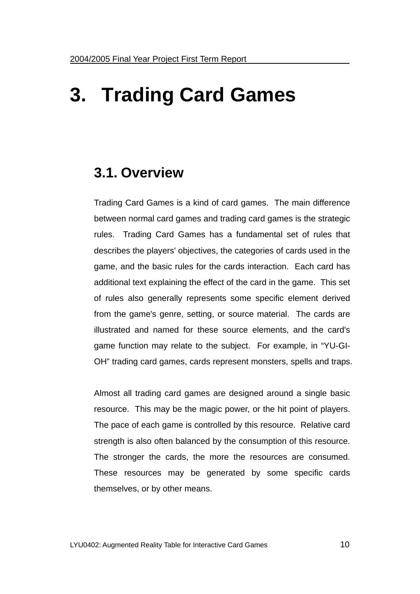# **3. Trading Card Games**

### **3.1. Overview**

Trading Card Games is a kind of card games. The main difference between normal card games and trading card games is the strategic rules. Trading Card Games has a fundamental set of rules that describes the players' objectives, the categories of cards used in the game, and the basic rules for the cards interaction. Each card has additional text explaining the effect of the card in the game. This set of rules also generally represents some specific element derived from the game's genre, setting, or source material. The cards are illustrated and named for these source elements, and the card's game function may relate to the subject. For example, in "YU-GI-OH" trading card games, cards represent monsters, spells and traps.

Almost all trading card games are designed around a single basic resource. This may be the magic power, or the hit point of players. The pace of each game is controlled by this resource. Relative card strength is also often balanced by the consumption of this resource. The stronger the cards, the more the resources are consumed. These resources may be generated by some specific cards themselves, or by other means.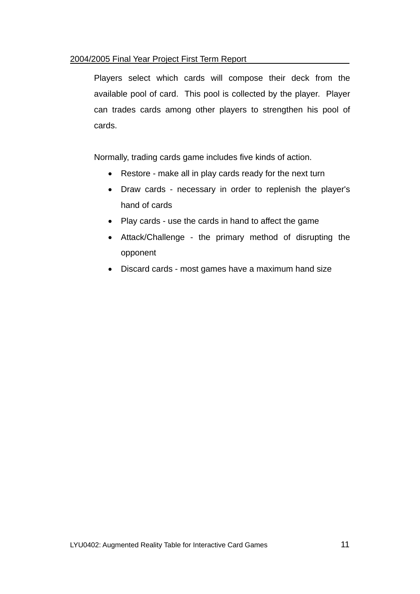Players select which cards will compose their deck from the available pool of card. This pool is collected by the player. Player can trades cards among other players to strengthen his pool of cards.

Normally, trading cards game includes five kinds of action.

- Restore make all in play cards ready for the next turn
- Draw cards necessary in order to replenish the player's hand of cards
- Play cards use the cards in hand to affect the game
- Attack/Challenge the primary method of disrupting the opponent
- Discard cards most games have a maximum hand size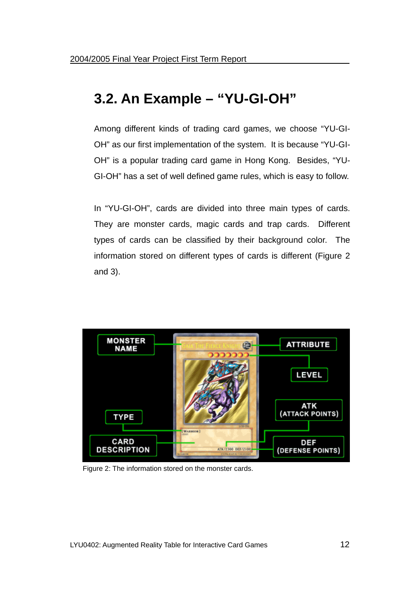# **3.2. An Example – "YU-GI-OH"**

Among different kinds of trading card games, we choose "YU-GI-OH" as our first implementation of the system. It is because "YU-GI-OH" is a popular trading card game in Hong Kong. Besides, "YU-GI-OH" has a set of well defined game rules, which is easy to follow.

In "YU-GI-OH", cards are divided into three main types of cards. They are monster cards, magic cards and trap cards. Different types of cards can be classified by their background color. The information stored on different types of cards is different (Figure 2 and 3).



Figure 2: The information stored on the monster cards.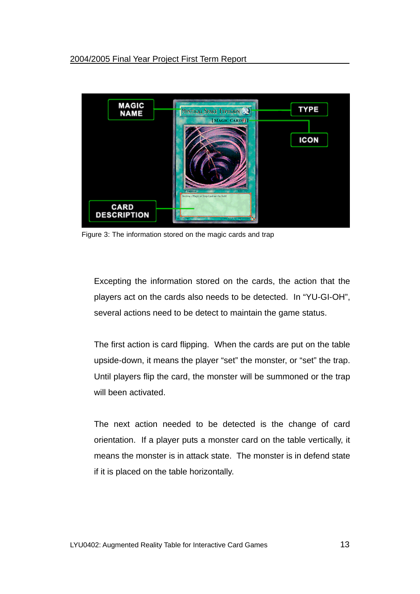

Figure 3: The information stored on the magic cards and trap

Excepting the information stored on the cards, the action that the players act on the cards also needs to be detected. In "YU-GI-OH", several actions need to be detect to maintain the game status.

The first action is card flipping. When the cards are put on the table upside-down, it means the player "set" the monster, or "set" the trap. Until players flip the card, the monster will be summoned or the trap will been activated.

The next action needed to be detected is the change of card orientation. If a player puts a monster card on the table vertically, it means the monster is in attack state. The monster is in defend state if it is placed on the table horizontally.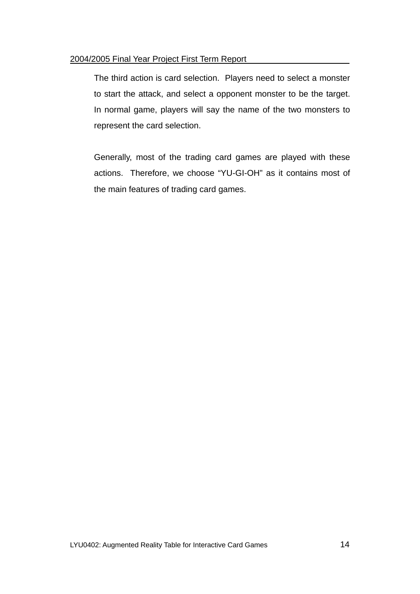The third action is card selection. Players need to select a monster to start the attack, and select a opponent monster to be the target. In normal game, players will say the name of the two monsters to represent the card selection.

Generally, most of the trading card games are played with these actions. Therefore, we choose "YU-GI-OH" as it contains most of the main features of trading card games.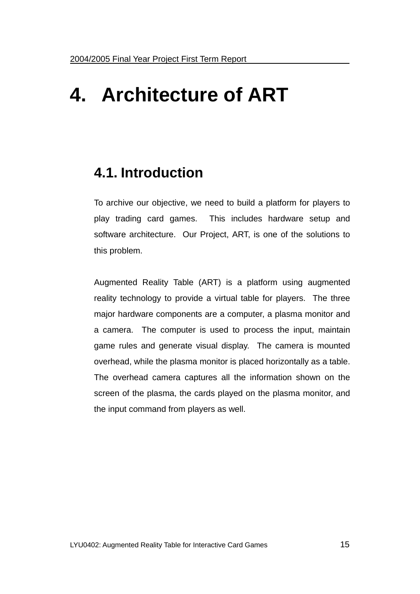# **4. Architecture of ART**

## **4.1. Introduction**

To archive our objective, we need to build a platform for players to play trading card games. This includes hardware setup and software architecture. Our Project, ART, is one of the solutions to this problem.

Augmented Reality Table (ART) is a platform using augmented reality technology to provide a virtual table for players. The three major hardware components are a computer, a plasma monitor and a camera. The computer is used to process the input, maintain game rules and generate visual display. The camera is mounted overhead, while the plasma monitor is placed horizontally as a table. The overhead camera captures all the information shown on the screen of the plasma, the cards played on the plasma monitor, and the input command from players as well.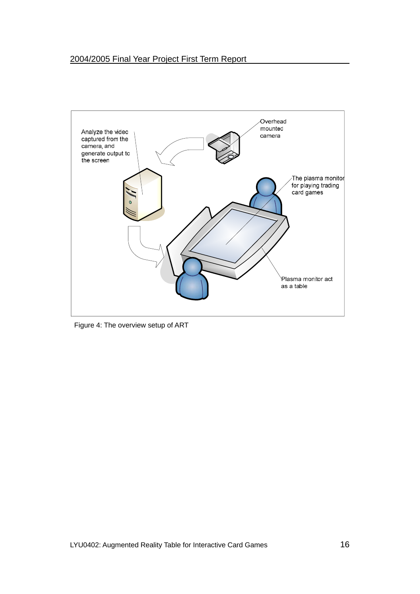

Figure 4: The overview setup of ART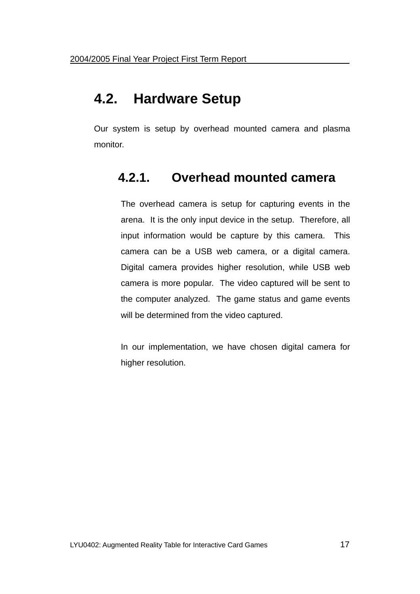## **4.2. Hardware Setup**

Our system is setup by overhead mounted camera and plasma monitor.

## **4.2.1. Overhead mounted camera**

The overhead camera is setup for capturing events in the arena. It is the only input device in the setup. Therefore, all input information would be capture by this camera. This camera can be a USB web camera, or a digital camera. Digital camera provides higher resolution, while USB web camera is more popular. The video captured will be sent to the computer analyzed. The game status and game events will be determined from the video captured.

In our implementation, we have chosen digital camera for higher resolution.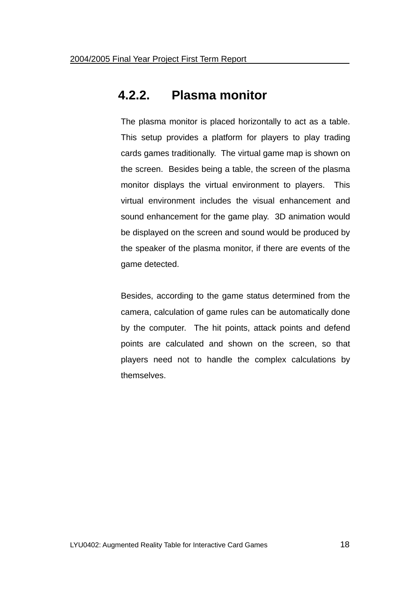### **4.2.2. Plasma monitor**

The plasma monitor is placed horizontally to act as a table. This setup provides a platform for players to play trading cards games traditionally. The virtual game map is shown on the screen. Besides being a table, the screen of the plasma monitor displays the virtual environment to players. This virtual environment includes the visual enhancement and sound enhancement for the game play. 3D animation would be displayed on the screen and sound would be produced by the speaker of the plasma monitor, if there are events of the game detected.

Besides, according to the game status determined from the camera, calculation of game rules can be automatically done by the computer. The hit points, attack points and defend points are calculated and shown on the screen, so that players need not to handle the complex calculations by themselves.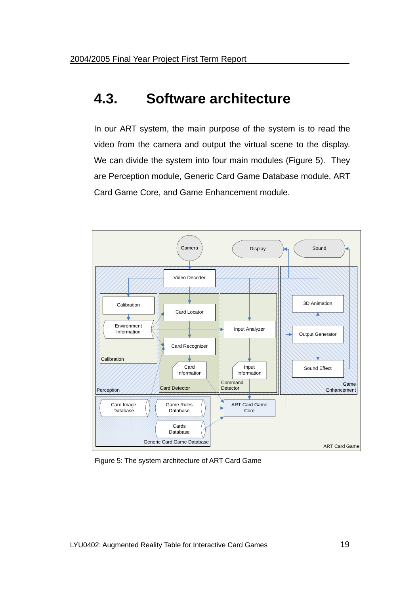## **4.3. Software architecture**

In our ART system, the main purpose of the system is to read the video from the camera and output the virtual scene to the display. We can divide the system into four main modules (Figure 5). They are Perception module, Generic Card Game Database module, ART Card Game Core, and Game Enhancement module.



Figure 5: The system architecture of ART Card Game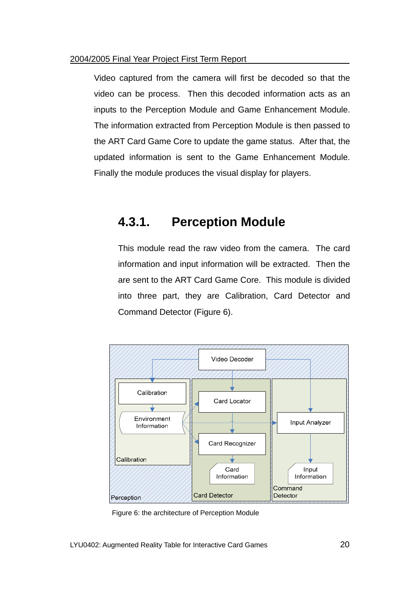Video captured from the camera will first be decoded so that the video can be process. Then this decoded information acts as an inputs to the Perception Module and Game Enhancement Module. The information extracted from Perception Module is then passed to the ART Card Game Core to update the game status. After that, the updated information is sent to the Game Enhancement Module. Finally the module produces the visual display for players.

### **4.3.1. Perception Module**

This module read the raw video from the camera. The card information and input information will be extracted. Then the are sent to the ART Card Game Core. This module is divided into three part, they are Calibration, Card Detector and Command Detector (Figure 6).



Figure 6: the architecture of Perception Module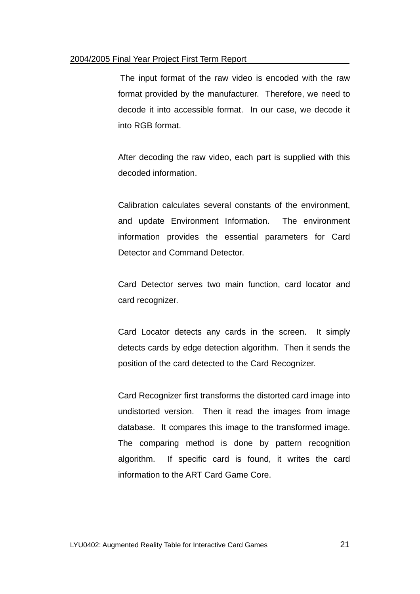The input format of the raw video is encoded with the raw format provided by the manufacturer. Therefore, we need to decode it into accessible format. In our case, we decode it into RGB format.

After decoding the raw video, each part is supplied with this decoded information.

Calibration calculates several constants of the environment, and update Environment Information. The environment information provides the essential parameters for Card Detector and Command Detector.

Card Detector serves two main function, card locator and card recognizer.

Card Locator detects any cards in the screen. It simply detects cards by edge detection algorithm. Then it sends the position of the card detected to the Card Recognizer.

Card Recognizer first transforms the distorted card image into undistorted version. Then it read the images from image database. It compares this image to the transformed image. The comparing method is done by pattern recognition algorithm. If specific card is found, it writes the card information to the ART Card Game Core.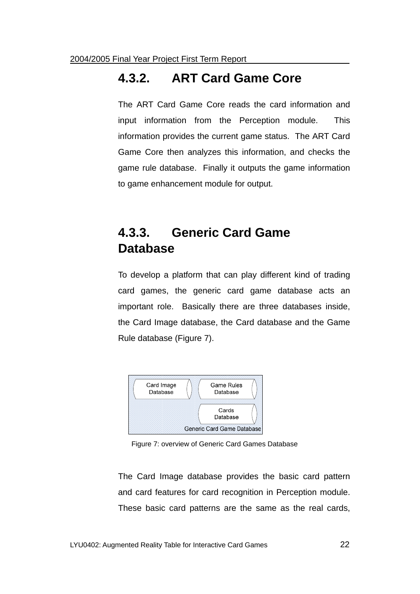### **4.3.2. ART Card Game Core**

The ART Card Game Core reads the card information and input information from the Perception module. This information provides the current game status. The ART Card Game Core then analyzes this information, and checks the game rule database. Finally it outputs the game information to game enhancement module for output.

## **4.3.3. Generic Card Game Database**

To develop a platform that can play different kind of trading card games, the generic card game database acts an important role. Basically there are three databases inside, the Card Image database, the Card database and the Game Rule database (Figure 7).



Figure 7: overview of Generic Card Games Database

The Card Image database provides the basic card pattern and card features for card recognition in Perception module. These basic card patterns are the same as the real cards,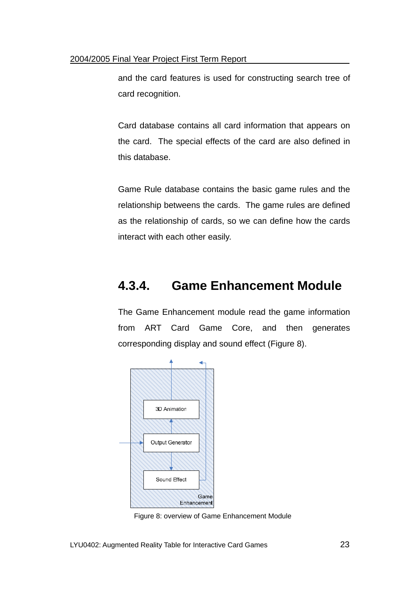and the card features is used for constructing search tree of card recognition.

Card database contains all card information that appears on the card. The special effects of the card are also defined in this database.

Game Rule database contains the basic game rules and the relationship betweens the cards. The game rules are defined as the relationship of cards, so we can define how the cards interact with each other easily.

## **4.3.4. Game Enhancement Module**

The Game Enhancement module read the game information from ART Card Game Core, and then generates corresponding display and sound effect (Figure 8).



Figure 8: overview of Game Enhancement Module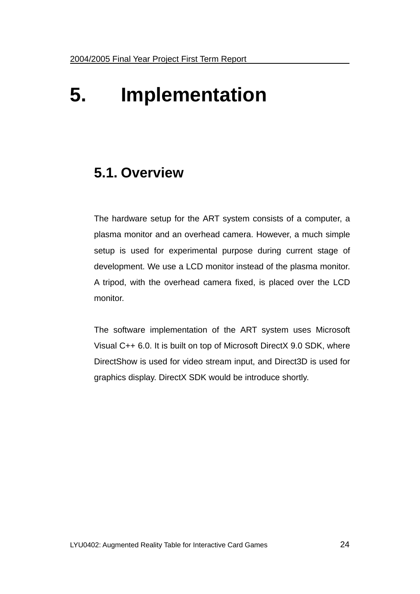# **5. Implementation**

## **5.1. Overview**

The hardware setup for the ART system consists of a computer, a plasma monitor and an overhead camera. However, a much simple setup is used for experimental purpose during current stage of development. We use a LCD monitor instead of the plasma monitor. A tripod, with the overhead camera fixed, is placed over the LCD monitor.

The software implementation of the ART system uses Microsoft Visual C++ 6.0. It is built on top of Microsoft DirectX 9.0 SDK, where DirectShow is used for video stream input, and Direct3D is used for graphics display. DirectX SDK would be introduce shortly.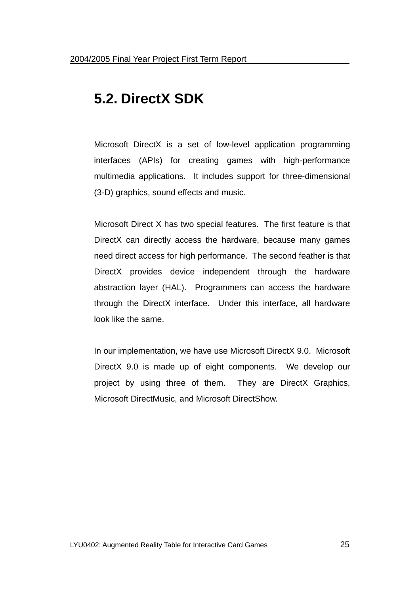# **5.2. DirectX SDK**

Microsoft DirectX is a set of low-level application programming interfaces (APIs) for creating games with high-performance multimedia applications. It includes support for three-dimensional (3-D) graphics, sound effects and music.

Microsoft Direct X has two special features. The first feature is that DirectX can directly access the hardware, because many games need direct access for high performance. The second feather is that DirectX provides device independent through the hardware abstraction layer (HAL). Programmers can access the hardware through the DirectX interface. Under this interface, all hardware look like the same.

In our implementation, we have use Microsoft DirectX 9.0. Microsoft DirectX 9.0 is made up of eight components. We develop our project by using three of them. They are DirectX Graphics, Microsoft DirectMusic, and Microsoft DirectShow.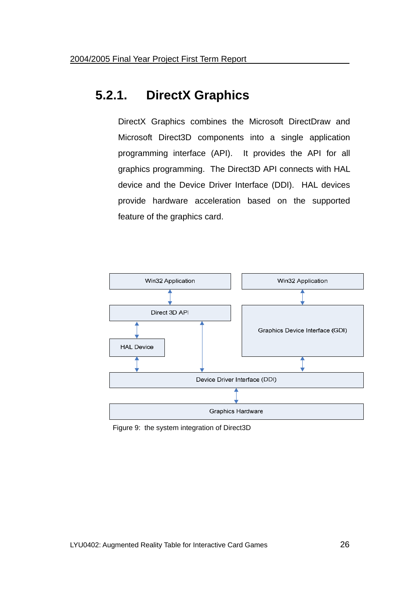## **5.2.1. DirectX Graphics**

DirectX Graphics combines the Microsoft DirectDraw and Microsoft Direct3D components into a single application programming interface (API). It provides the API for all graphics programming. The Direct3D API connects with HAL device and the Device Driver Interface (DDI). HAL devices provide hardware acceleration based on the supported feature of the graphics card.



Figure 9: the system integration of Direct3D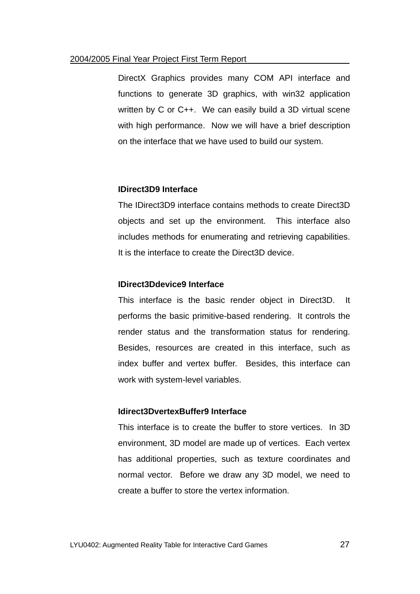DirectX Graphics provides many COM API interface and functions to generate 3D graphics, with win32 application written by C or C++. We can easily build a 3D virtual scene with high performance. Now we will have a brief description on the interface that we have used to build our system.

#### **IDirect3D9 Interface**

The IDirect3D9 interface contains methods to create Direct3D objects and set up the environment. This interface also includes methods for enumerating and retrieving capabilities. It is the interface to create the Direct3D device.

#### **IDirect3Ddevice9 Interface**

This interface is the basic render object in Direct3D. It performs the basic primitive-based rendering. It controls the render status and the transformation status for rendering. Besides, resources are created in this interface, such as index buffer and vertex buffer. Besides, this interface can work with system-level variables.

#### **Idirect3DvertexBuffer9 Interface**

This interface is to create the buffer to store vertices. In 3D environment, 3D model are made up of vertices. Each vertex has additional properties, such as texture coordinates and normal vector. Before we draw any 3D model, we need to create a buffer to store the vertex information.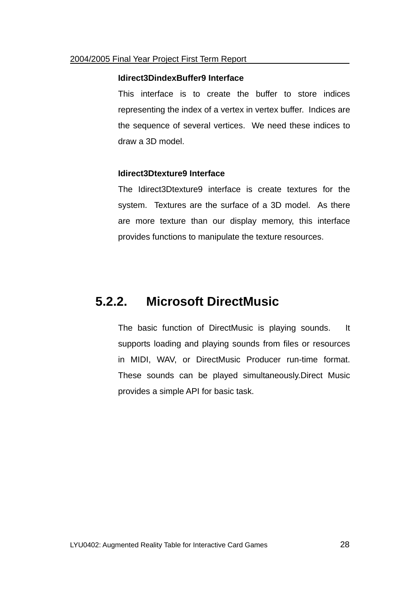#### **Idirect3DindexBuffer9 Interface**

This interface is to create the buffer to store indices representing the index of a vertex in vertex buffer. Indices are the sequence of several vertices. We need these indices to draw a 3D model.

#### **Idirect3Dtexture9 Interface**

The Idirect3Dtexture9 interface is create textures for the system. Textures are the surface of a 3D model. As there are more texture than our display memory, this interface provides functions to manipulate the texture resources.

### **5.2.2. Microsoft DirectMusic**

The basic function of DirectMusic is playing sounds. It supports loading and playing sounds from files or resources in MIDI, WAV, or DirectMusic Producer run-time format. These sounds can be played simultaneously.Direct Music provides a simple API for basic task.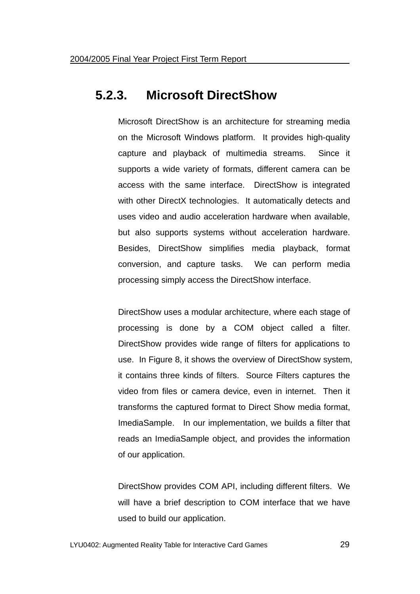### **5.2.3. Microsoft DirectShow**

Microsoft DirectShow is an architecture for streaming media on the Microsoft Windows platform. It provides high-quality capture and playback of multimedia streams. Since it supports a wide variety of formats, different camera can be access with the same interface. DirectShow is integrated with other DirectX technologies. It automatically detects and uses video and audio acceleration hardware when available, but also supports systems without acceleration hardware. Besides, DirectShow simplifies media playback, format conversion, and capture tasks. We can perform media processing simply access the DirectShow interface.

DirectShow uses a modular architecture, where each stage of processing is done by a COM object called a filter. DirectShow provides wide range of filters for applications to use. In Figure 8, it shows the overview of DirectShow system, it contains three kinds of filters. Source Filters captures the video from files or camera device, even in internet. Then it transforms the captured format to Direct Show media format, ImediaSample. In our implementation, we builds a filter that reads an ImediaSample object, and provides the information of our application.

DirectShow provides COM API, including different filters. We will have a brief description to COM interface that we have used to build our application.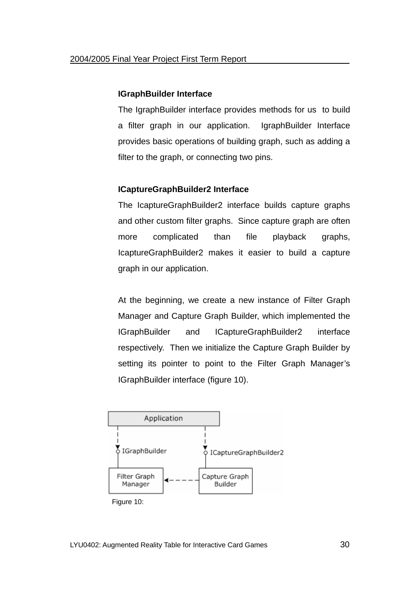#### **IGraphBuilder Interface**

The IgraphBuilder interface provides methods for us to build a filter graph in our application. IgraphBuilder Interface provides basic operations of building graph, such as adding a filter to the graph, or connecting two pins.

#### **ICaptureGraphBuilder2 Interface**

The IcaptureGraphBuilder2 interface builds capture graphs and other custom filter graphs. Since capture graph are often more complicated than file playback graphs, IcaptureGraphBuilder2 makes it easier to build a capture graph in our application.

At the beginning, we create a new instance of Filter Graph Manager and Capture Graph Builder, which implemented the IGraphBuilder and ICaptureGraphBuilder2 interface respectively. Then we initialize the Capture Graph Builder by setting its pointer to point to the Filter Graph Manager's IGraphBuilder interface (figure 10).

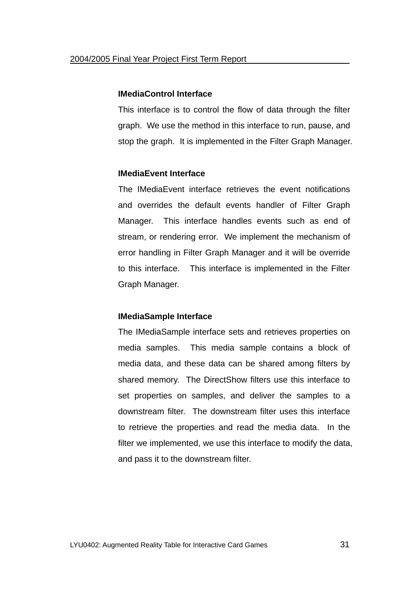#### **IMediaControl Interface**

This interface is to control the flow of data through the filter graph. We use the method in this interface to run, pause, and stop the graph. It is implemented in the Filter Graph Manager.

#### **IMediaEvent Interface**

The IMediaEvent interface retrieves the event notifications and overrides the default events handler of Filter Graph Manager. This interface handles events such as end of stream, or rendering error. We implement the mechanism of error handling in Filter Graph Manager and it will be override to this interface. This interface is implemented in the Filter Graph Manager.

#### **IMediaSample Interface**

The IMediaSample interface sets and retrieves properties on media samples. This media sample contains a block of media data, and these data can be shared among filters by shared memory. The DirectShow filters use this interface to set properties on samples, and deliver the samples to a downstream filter. The downstream filter uses this interface to retrieve the properties and read the media data. In the filter we implemented, we use this interface to modify the data, and pass it to the downstream filter.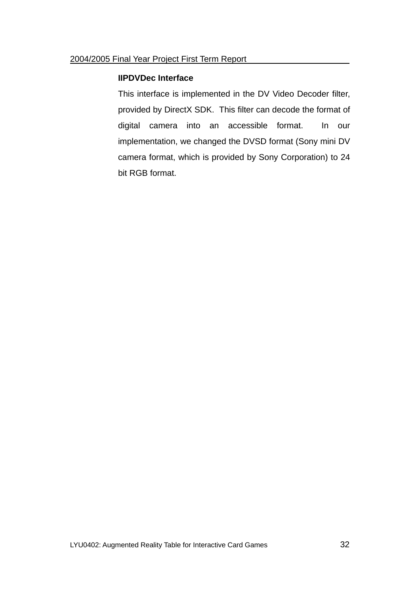#### **IIPDVDec Interface**

This interface is implemented in the DV Video Decoder filter, provided by DirectX SDK. This filter can decode the format of digital camera into an accessible format. In our implementation, we changed the DVSD format (Sony mini DV camera format, which is provided by Sony Corporation) to 24 bit RGB format.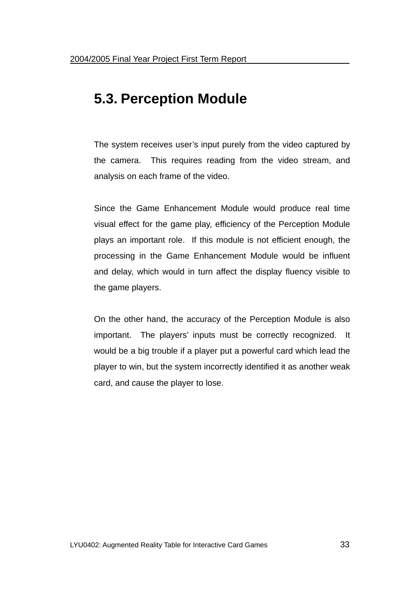# **5.3. Perception Module**

The system receives user's input purely from the video captured by the camera. This requires reading from the video stream, and analysis on each frame of the video.

Since the Game Enhancement Module would produce real time visual effect for the game play, efficiency of the Perception Module plays an important role. If this module is not efficient enough, the processing in the Game Enhancement Module would be influent and delay, which would in turn affect the display fluency visible to the game players.

On the other hand, the accuracy of the Perception Module is also important. The players' inputs must be correctly recognized. It would be a big trouble if a player put a powerful card which lead the player to win, but the system incorrectly identified it as another weak card, and cause the player to lose.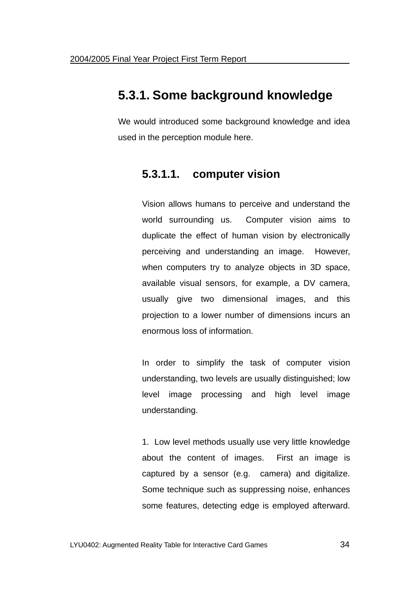### **5.3.1. Some background knowledge**

We would introduced some background knowledge and idea used in the perception module here.

### **5.3.1.1. computer vision**

Vision allows humans to perceive and understand the world surrounding us. Computer vision aims to duplicate the effect of human vision by electronically perceiving and understanding an image. However, when computers try to analyze objects in 3D space, available visual sensors, for example, a DV camera, usually give two dimensional images, and this projection to a lower number of dimensions incurs an enormous loss of information.

In order to simplify the task of computer vision understanding, two levels are usually distinguished; low level image processing and high level image understanding.

1. Low level methods usually use very little knowledge about the content of images. First an image is captured by a sensor (e.g. camera) and digitalize. Some technique such as suppressing noise, enhances some features, detecting edge is employed afterward.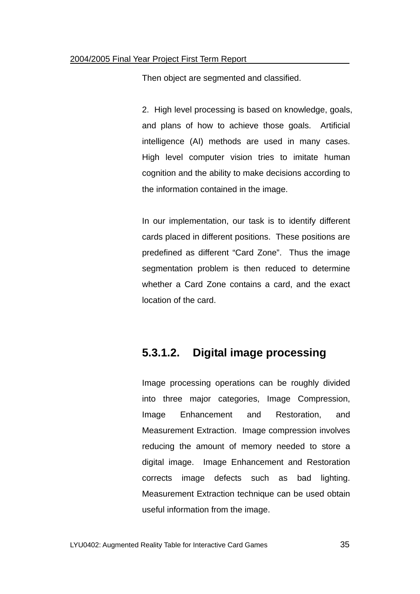Then object are segmented and classified.

2. High level processing is based on knowledge, goals, and plans of how to achieve those goals. Artificial intelligence (AI) methods are used in many cases. High level computer vision tries to imitate human cognition and the ability to make decisions according to the information contained in the image.

In our implementation, our task is to identify different cards placed in different positions. These positions are predefined as different "Card Zone". Thus the image segmentation problem is then reduced to determine whether a Card Zone contains a card, and the exact location of the card.

### **5.3.1.2. Digital image processing**

Image processing operations can be roughly divided into three major categories, Image Compression, Image Enhancement and Restoration, and Measurement Extraction. Image compression involves reducing the amount of memory needed to store a digital image. Image Enhancement and Restoration corrects image defects such as bad lighting. Measurement Extraction technique can be used obtain useful information from the image.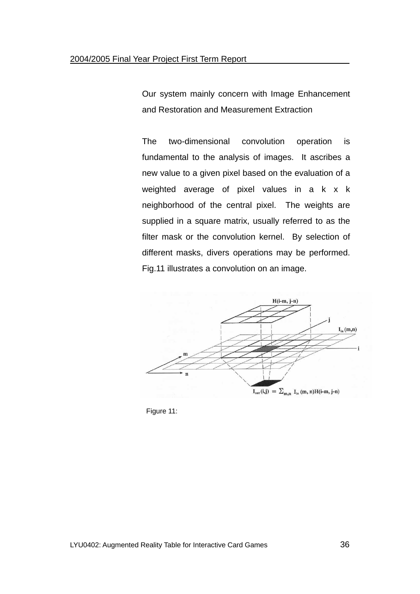Our system mainly concern with Image Enhancement and Restoration and Measurement Extraction

The two-dimensional convolution operation is fundamental to the analysis of images. It ascribes a new value to a given pixel based on the evaluation of a weighted average of pixel values in a k x k neighborhood of the central pixel. The weights are supplied in a square matrix, usually referred to as the filter mask or the convolution kernel. By selection of different masks, divers operations may be performed. Fig.11 illustrates a convolution on an image.



Figure 11: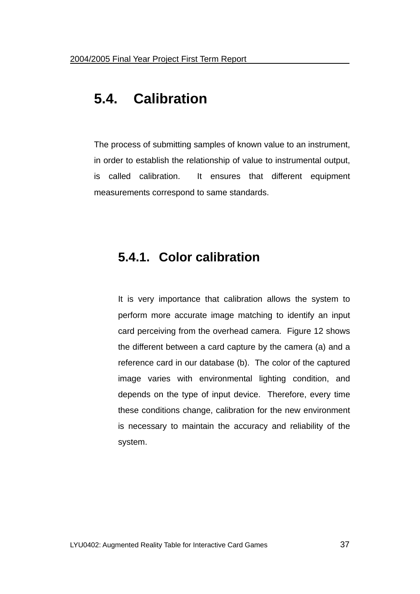# **5.4. Calibration**

The process of submitting samples of known value to an instrument, in order to establish the relationship of value to instrumental output, is called calibration. It ensures that different equipment measurements correspond to same standards.

# **5.4.1. Color calibration**

It is very importance that calibration allows the system to perform more accurate image matching to identify an input card perceiving from the overhead camera. Figure 12 shows the different between a card capture by the camera (a) and a reference card in our database (b). The color of the captured image varies with environmental lighting condition, and depends on the type of input device. Therefore, every time these conditions change, calibration for the new environment is necessary to maintain the accuracy and reliability of the system.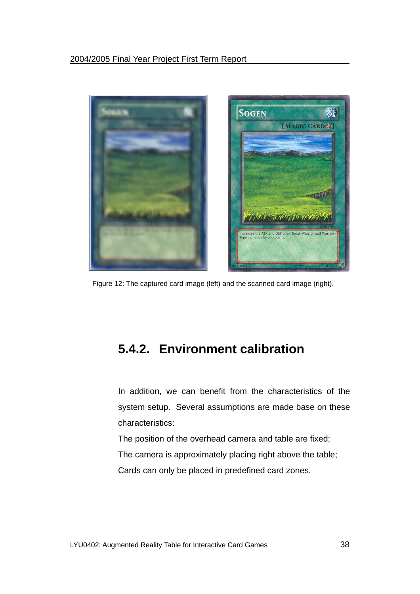

Figure 12: The captured card image (left) and the scanned card image (right).

# **5.4.2. Environment calibration**

In addition, we can benefit from the characteristics of the system setup. Several assumptions are made base on these characteristics:

The position of the overhead camera and table are fixed; The camera is approximately placing right above the table; Cards can only be placed in predefined card zones.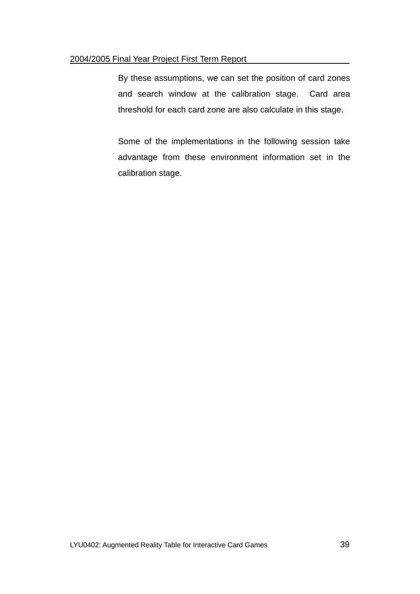#### 2004/2005 Final Year Project First Term Report

By these assumptions, we can set the position of card zones and search window at the calibration stage. Card area threshold for each card zone are also calculate in this stage.

Some of the implementations in the following session take advantage from these environment information set in the calibration stage.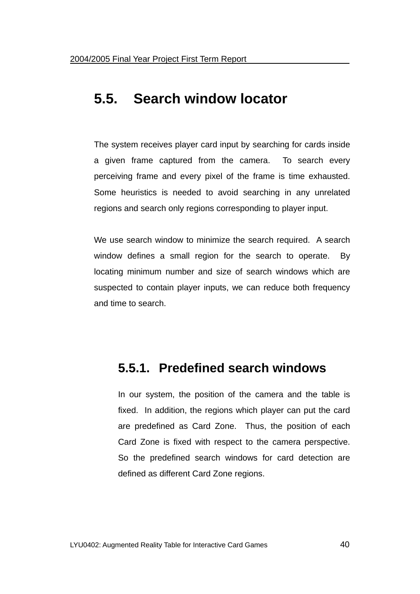# **5.5. Search window locator**

The system receives player card input by searching for cards inside a given frame captured from the camera. To search every perceiving frame and every pixel of the frame is time exhausted. Some heuristics is needed to avoid searching in any unrelated regions and search only regions corresponding to player input.

We use search window to minimize the search required. A search window defines a small region for the search to operate. By locating minimum number and size of search windows which are suspected to contain player inputs, we can reduce both frequency and time to search.

# **5.5.1. Predefined search windows**

In our system, the position of the camera and the table is fixed. In addition, the regions which player can put the card are predefined as Card Zone. Thus, the position of each Card Zone is fixed with respect to the camera perspective. So the predefined search windows for card detection are defined as different Card Zone regions.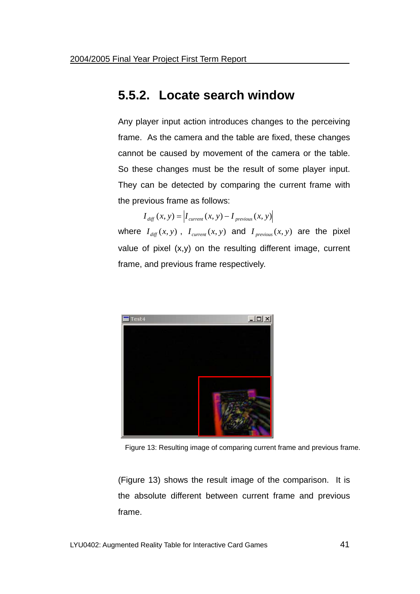### **5.5.2. Locate search window**

Any player input action introduces changes to the perceiving frame. As the camera and the table are fixed, these changes cannot be caused by movement of the camera or the table. So these changes must be the result of some player input. They can be detected by comparing the current frame with the previous frame as follows:

 $I_{\text{diff}}(x, y) = |I_{\text{current}}(x, y) - I_{\text{previous}}(x, y)|$ 

where  $I_{diff}(x, y)$ ,  $I_{current}(x, y)$  and  $I_{previous}(x, y)$  are the pixel value of pixel (x,y) on the resulting different image, current frame, and previous frame respectively.



Figure 13: Resulting image of comparing current frame and previous frame.

(Figure 13) shows the result image of the comparison. It is the absolute different between current frame and previous frame.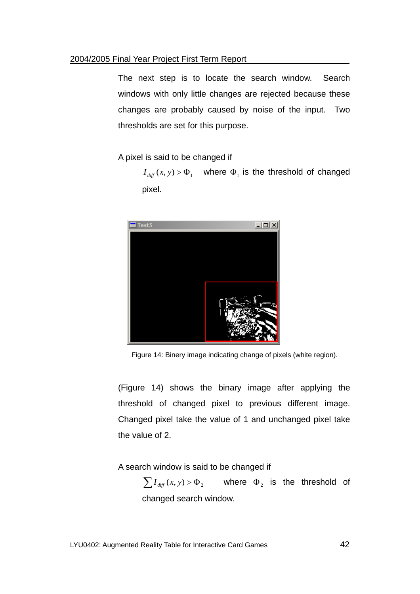#### 2004/2005 Final Year Project First Term Report

The next step is to locate the search window. Search windows with only little changes are rejected because these changes are probably caused by noise of the input. Two thresholds are set for this purpose.

A pixel is said to be changed if

 $I_{diff}(x, y) > \Phi_1$  where  $\Phi_1$  is the threshold of changed pixel.



Figure 14: Binery image indicating change of pixels (white region).

(Figure 14) shows the binary image after applying the threshold of changed pixel to previous different image. Changed pixel take the value of 1 and unchanged pixel take the value of 2.

A search window is said to be changed if

 $\sum I_{\text{diff}}(x, y) > \Phi_2$  where  $\Phi_2$  is the threshold of changed search window.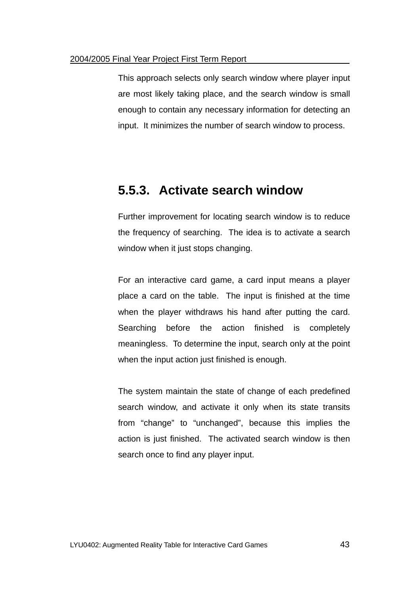#### 2004/2005 Final Year Project First Term Report

This approach selects only search window where player input are most likely taking place, and the search window is small enough to contain any necessary information for detecting an input. It minimizes the number of search window to process.

### **5.5.3. Activate search window**

Further improvement for locating search window is to reduce the frequency of searching. The idea is to activate a search window when it just stops changing.

For an interactive card game, a card input means a player place a card on the table. The input is finished at the time when the player withdraws his hand after putting the card. Searching before the action finished is completely meaningless. To determine the input, search only at the point when the input action just finished is enough.

The system maintain the state of change of each predefined search window, and activate it only when its state transits from "change" to "unchanged", because this implies the action is just finished. The activated search window is then search once to find any player input.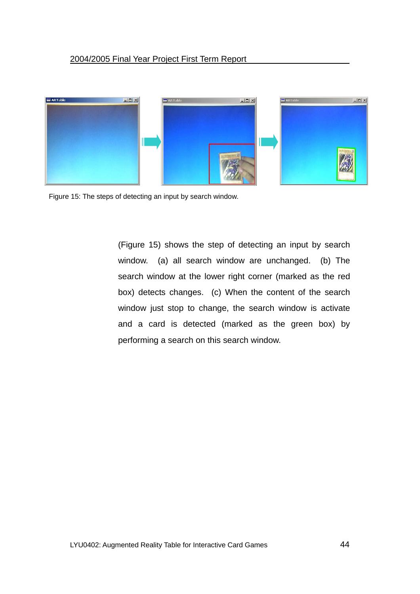

Figure 15: The steps of detecting an input by search window.

(Figure 15) shows the step of detecting an input by search window. (a) all search window are unchanged. (b) The search window at the lower right corner (marked as the red box) detects changes. (c) When the content of the search window just stop to change, the search window is activate and a card is detected (marked as the green box) by performing a search on this search window.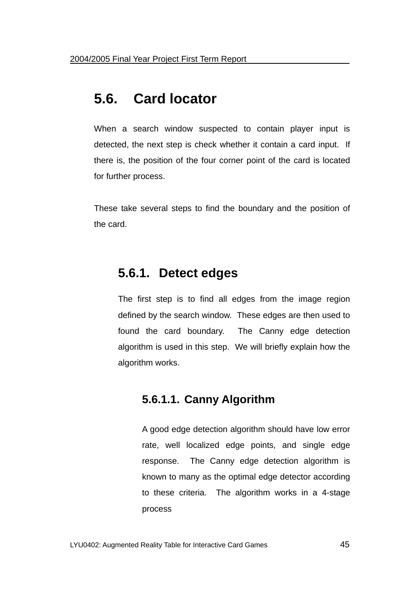# **5.6. Card locator**

When a search window suspected to contain player input is detected, the next step is check whether it contain a card input. If there is, the position of the four corner point of the card is located for further process.

These take several steps to find the boundary and the position of the card.

### **5.6.1. Detect edges**

The first step is to find all edges from the image region defined by the search window. These edges are then used to found the card boundary. The Canny edge detection algorithm is used in this step. We will briefly explain how the algorithm works.

### **5.6.1.1. Canny Algorithm**

A good edge detection algorithm should have low error rate, well localized edge points, and single edge response. The Canny edge detection algorithm is known to many as the optimal edge detector according to these criteria. The algorithm works in a 4-stage process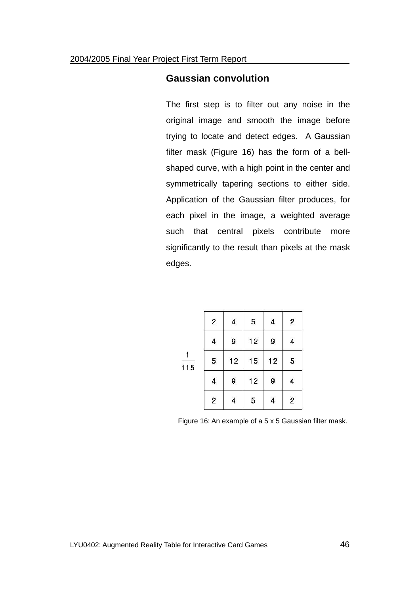#### **Gaussian convolution**

The first step is to filter out any noise in the original image and smooth the image before trying to locate and detect edges. A Gaussian filter mask (Figure 16) has the form of a bellshaped curve, with a high point in the center and symmetrically tapering sections to either side. Application of the Gaussian filter produces, for each pixel in the image, a weighted average such that central pixels contribute more significantly to the result than pixels at the mask edges.

|     | $\overline{\mathbf{c}}$ | 4  | 5  | 4  | $\overline{\mathbf{c}}$ |
|-----|-------------------------|----|----|----|-------------------------|
| 115 | $\overline{\mathbf{4}}$ | 9  | 12 | 9  | 4                       |
|     | 5                       | 12 | 15 | 12 | 5                       |
|     | $\overline{\mathbf{4}}$ | 9  | 12 | 9  | 4                       |
|     | $\overline{c}$          | 4  | 5  | 4  | $\overline{c}$          |

Figure 16: An example of a 5 x 5 Gaussian filter mask.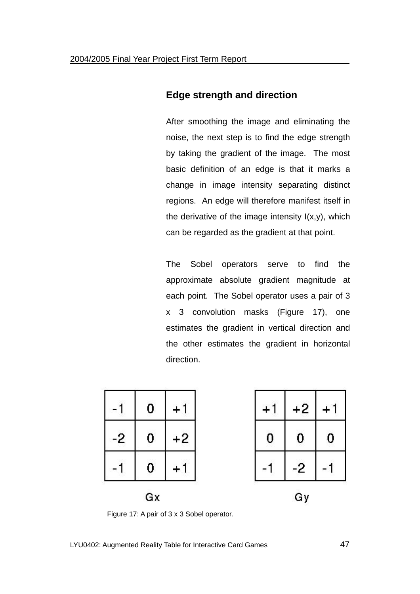### **Edge strength and direction**

After smoothing the image and eliminating the noise, the next step is to find the edge strength by taking the gradient of the image. The most basic definition of an edge is that it marks a change in image intensity separating distinct regions. An edge will therefore manifest itself in the derivative of the image intensity  $I(x,y)$ , which can be regarded as the gradient at that point.

The Sobel operators serve to find the approximate absolute gradient magnitude at each point. The Sobel operator uses a pair of 3 x 3 convolution masks (Figure 17), one estimates the gradient in vertical direction and the other estimates the gradient in horizontal direction.

|      | 0 |      | $+$ | $+2$ |   |
|------|---|------|-----|------|---|
| $-2$ | 0 | $+2$ |     |      | 0 |
|      | 0 |      |     | -2   |   |
| Gx   |   |      | Gy  |      |   |

Figure 17: A pair of 3 x 3 Sobel operator.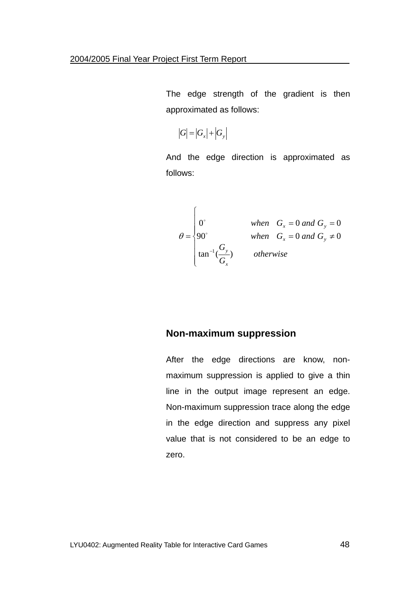The edge strength of the gradient is then approximated as follows:

$$
|G|=|G_x|+|G_y|
$$

And the edge direction is approximated as follows:

$$
\theta = \begin{cases}\n0^{\circ} & when G_x = 0 \text{ and } G_y = 0 \\
90^{\circ} & when G_x = 0 \text{ and } G_y \neq 0 \\
\tan^{-1} \left( \frac{G_y}{G_x} \right) & otherwise\n\end{cases}
$$

#### **Non-maximum suppression**

After the edge directions are know, nonmaximum suppression is applied to give a thin line in the output image represent an edge. Non-maximum suppression trace along the edge in the edge direction and suppress any pixel value that is not considered to be an edge to zero.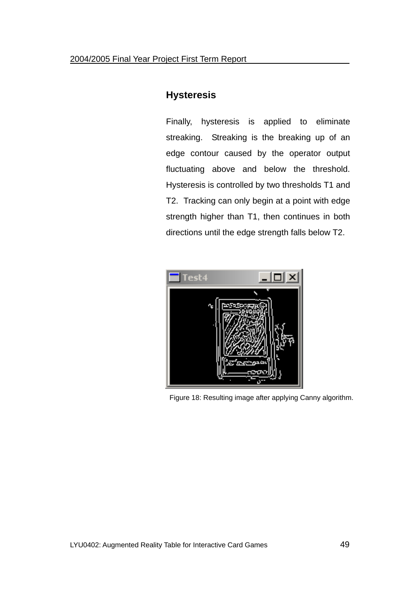### **Hysteresis**

Finally, hysteresis is applied to eliminate streaking. Streaking is the breaking up of an edge contour caused by the operator output fluctuating above and below the threshold. Hysteresis is controlled by two thresholds T1 and T2. Tracking can only begin at a point with edge strength higher than T1, then continues in both directions until the edge strength falls below T2.



Figure 18: Resulting image after applying Canny algorithm.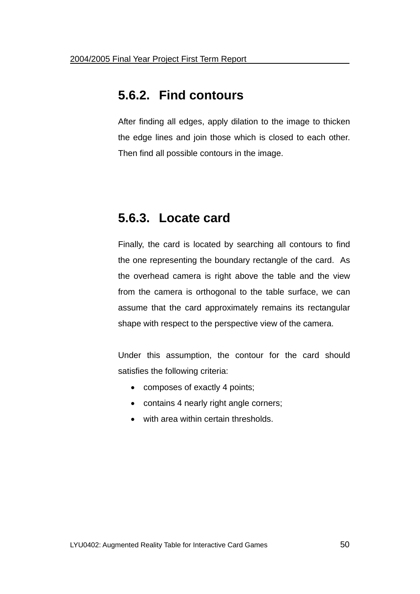# **5.6.2. Find contours**

After finding all edges, apply dilation to the image to thicken the edge lines and join those which is closed to each other. Then find all possible contours in the image.

# **5.6.3. Locate card**

Finally, the card is located by searching all contours to find the one representing the boundary rectangle of the card. As the overhead camera is right above the table and the view from the camera is orthogonal to the table surface, we can assume that the card approximately remains its rectangular shape with respect to the perspective view of the camera.

Under this assumption, the contour for the card should satisfies the following criteria:

- composes of exactly 4 points;
- contains 4 nearly right angle corners;
- with area within certain thresholds.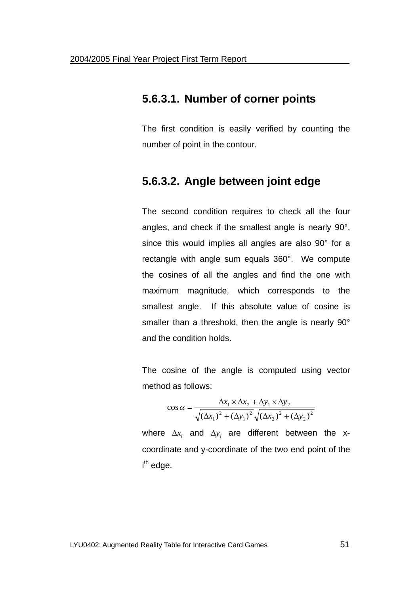### **5.6.3.1. Number of corner points**

The first condition is easily verified by counting the number of point in the contour.

### **5.6.3.2. Angle between joint edge**

The second condition requires to check all the four angles, and check if the smallest angle is nearly 90°, since this would implies all angles are also 90° for a rectangle with angle sum equals 360°. We compute the cosines of all the angles and find the one with maximum magnitude, which corresponds to the smallest angle. If this absolute value of cosine is smaller than a threshold, then the angle is nearly 90° and the condition holds.

The cosine of the angle is computed using vector method as follows:

$$
\cos \alpha = \frac{\Delta x_1 \times \Delta x_2 + \Delta y_1 \times \Delta y_2}{\sqrt{(\Delta x_1)^2 + (\Delta y_1)^2} \sqrt{(\Delta x_2)^2 + (\Delta y_2)^2}}
$$

where  $\Delta x_i$  and  $\Delta y_i$  are different between the xcoordinate and y-coordinate of the two end point of the i<sup>th</sup> edge.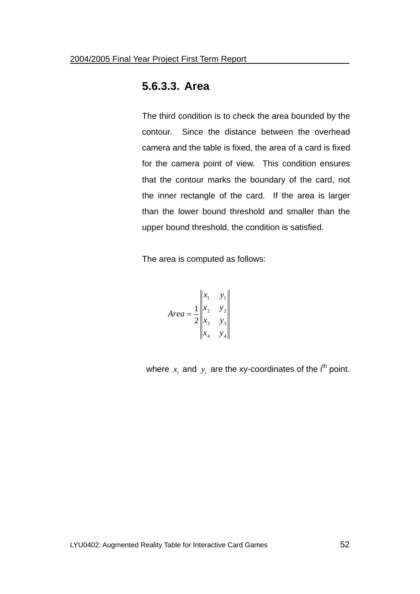### **5.6.3.3. Area**

The third condition is to check the area bounded by the contour. Since the distance between the overhead camera and the table is fixed, the area of a card is fixed for the camera point of view. This condition ensures that the contour marks the boundary of the card, not the inner rectangle of the card. If the area is larger than the lower bound threshold and smaller than the upper bound threshold, the condition is satisfied.

The area is computed as follows:

Area = 
$$
\frac{1}{2} \begin{vmatrix} x_1 & y_1 \\ x_2 & y_2 \\ x_3 & y_3 \\ x_4 & y_4 \end{vmatrix}
$$

where  $x_i$  and  $y_i$  are the xy-coordinates of the i<sup>th</sup> point.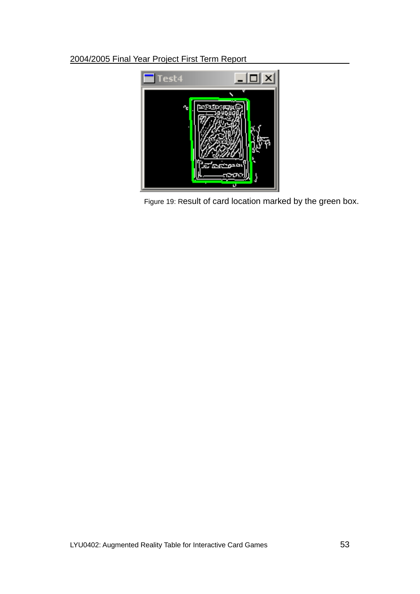#### 2004/2005 Final Year Project First Term Report



Figure 19: Result of card location marked by the green box.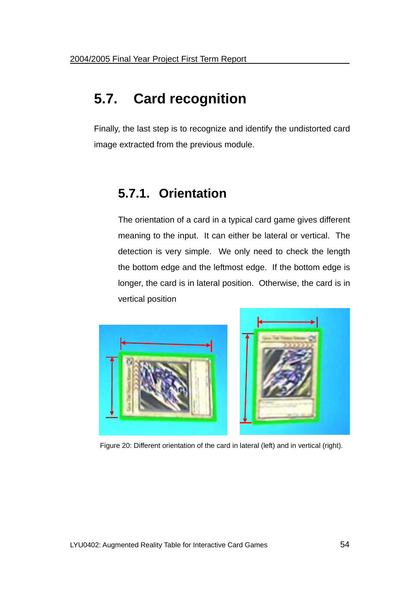# **5.7. Card recognition**

Finally, the last step is to recognize and identify the undistorted card image extracted from the previous module.

# **5.7.1. Orientation**

The orientation of a card in a typical card game gives different meaning to the input. It can either be lateral or vertical. The detection is very simple. We only need to check the length the bottom edge and the leftmost edge. If the bottom edge is longer, the card is in lateral position. Otherwise, the card is in vertical position



Figure 20: Different orientation of the card in lateral (left) and in vertical (right).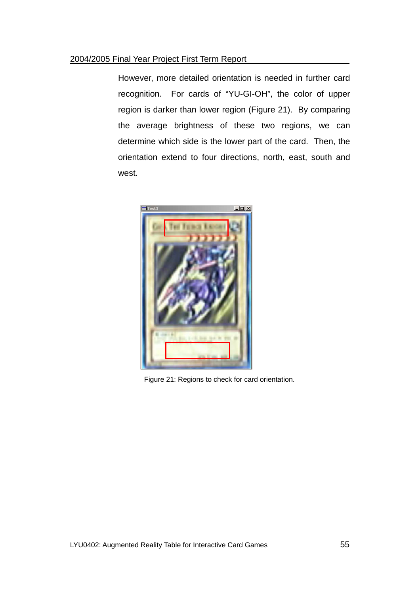#### 2004/2005 Final Year Project First Term Report

However, more detailed orientation is needed in further card recognition. For cards of "YU-GI-OH", the color of upper region is darker than lower region (Figure 21). By comparing the average brightness of these two regions, we can determine which side is the lower part of the card. Then, the orientation extend to four directions, north, east, south and west.



Figure 21: Regions to check for card orientation.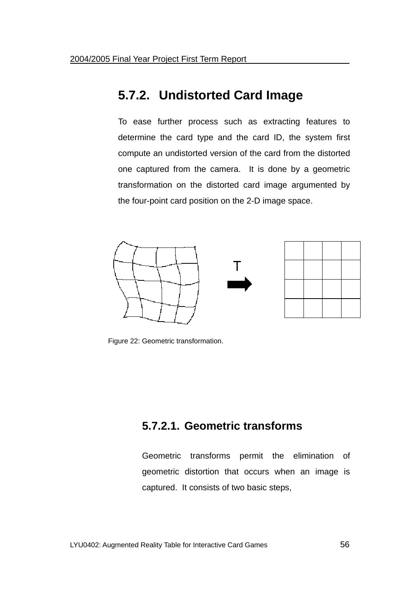# **5.7.2. Undistorted Card Image**

To ease further process such as extracting features to determine the card type and the card ID, the system first compute an undistorted version of the card from the distorted one captured from the camera. It is done by a geometric transformation on the distorted card image argumented by the four-point card position on the 2-D image space.





Figure 22: Geometric transformation.

### **5.7.2.1. Geometric transforms**

Geometric transforms permit the elimination of geometric distortion that occurs when an image is captured. It consists of two basic steps,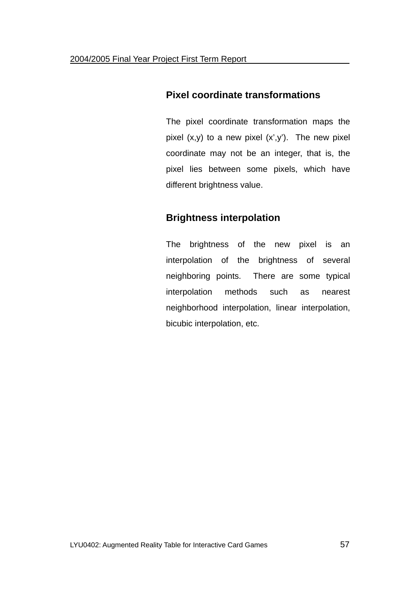### **Pixel coordinate transformations**

The pixel coordinate transformation maps the pixel  $(x,y)$  to a new pixel  $(x',y')$ . The new pixel coordinate may not be an integer, that is, the pixel lies between some pixels, which have different brightness value.

### **Brightness interpolation**

The brightness of the new pixel is an interpolation of the brightness of several neighboring points. There are some typical interpolation methods such as nearest neighborhood interpolation, linear interpolation, bicubic interpolation, etc.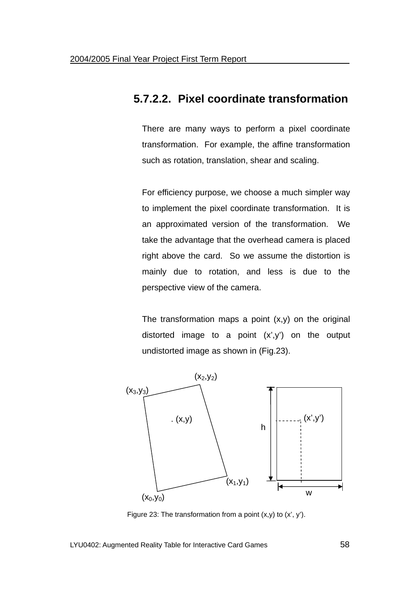### **5.7.2.2. Pixel coordinate transformation**

There are many ways to perform a pixel coordinate transformation. For example, the affine transformation such as rotation, translation, shear and scaling.

For efficiency purpose, we choose a much simpler way to implement the pixel coordinate transformation. It is an approximated version of the transformation. We take the advantage that the overhead camera is placed right above the card. So we assume the distortion is mainly due to rotation, and less is due to the perspective view of the camera.

The transformation maps a point  $(x,y)$  on the original distorted image to a point  $(x',y')$  on the output undistorted image as shown in (Fig.23).



Figure 23: The transformation from a point  $(x,y)$  to  $(x', y')$ .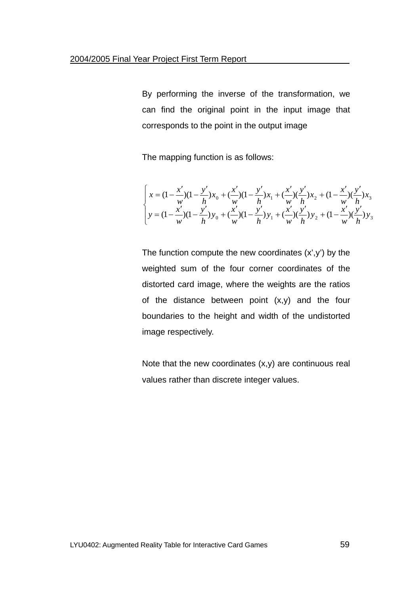By performing the inverse of the transformation, we can find the original point in the input image that corresponds to the point in the output image

The mapping function is as follows:

$$
\begin{cases}\nx = (1 - \frac{x'}{w})(1 - \frac{y'}{h})x_0 + (\frac{x'}{w})(1 - \frac{y'}{h})x_1 + (\frac{x'}{w})(\frac{y'}{h})x_2 + (1 - \frac{x'}{w})(\frac{y'}{h})x_3 \\
y = (1 - \frac{x'}{w})(1 - \frac{y'}{h})y_0 + (\frac{x'}{w})(1 - \frac{y'}{h})y_1 + (\frac{x'}{w})(\frac{y'}{h})y_2 + (1 - \frac{x'}{w})(\frac{y'}{h})y_3\n\end{cases}
$$

The function compute the new coordinates  $(x',y')$  by the weighted sum of the four corner coordinates of the distorted card image, where the weights are the ratios of the distance between point (x,y) and the four boundaries to the height and width of the undistorted image respectively.

Note that the new coordinates  $(x,y)$  are continuous real values rather than discrete integer values.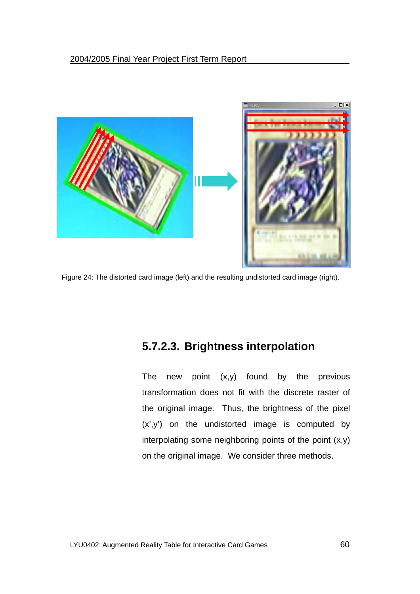

Figure 24: The distorted card image (left) and the resulting undistorted card image (right).

### **5.7.2.3. Brightness interpolation**

The new point  $(x,y)$  found by the previous transformation does not fit with the discrete raster of the original image. Thus, the brightness of the pixel (x',y') on the undistorted image is computed by interpolating some neighboring points of the point (x,y) on the original image. We consider three methods.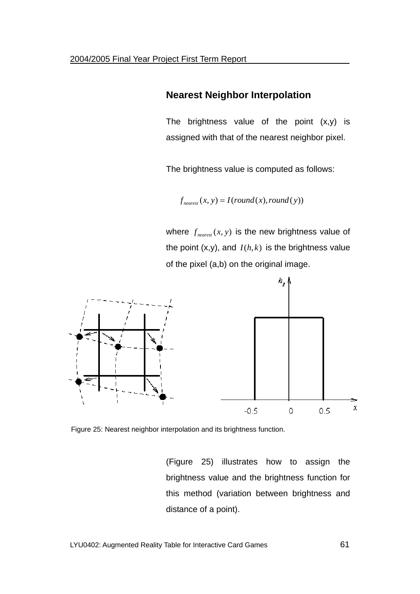#### **Nearest Neighbor Interpolation**

The brightness value of the point  $(x,y)$  is assigned with that of the nearest neighbor pixel.

The brightness value is computed as follows:

 $f_{nearest}(x, y) = I(round(x), round(y))$ 

where  $f_{\text{nearest}}(x, y)$  is the new brightness value of the point  $(x,y)$ , and  $I(h, k)$  is the brightness value of the pixel (a,b) on the original image.



Figure 25: Nearest neighbor interpolation and its brightness function.

(Figure 25) illustrates how to assign the brightness value and the brightness function for this method (variation between brightness and distance of a point).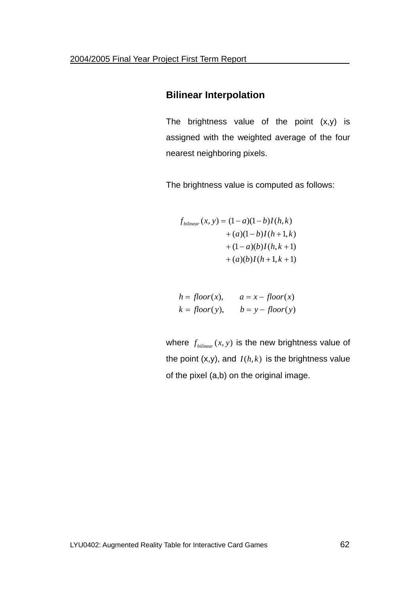#### **Bilinear Interpolation**

The brightness value of the point  $(x,y)$  is assigned with the weighted average of the four nearest neighboring pixels.

The brightness value is computed as follows:

$$
f_{bilinear}(x, y) = (1 - a)(1 - b)I(h, k) + (a)(1 - b)I(h + 1, k) + (1 - a)(b)I(h, k + 1) + (a)(b)I(h + 1, k + 1)
$$

$$
h = floor(x), \qquad a = x - floor(x)
$$
  

$$
k = floor(y), \qquad b = y - floor(y)
$$

where  $f_{bilinear}(x, y)$  is the new brightness value of the point  $(x,y)$ , and  $I(h, k)$  is the brightness value of the pixel (a,b) on the original image.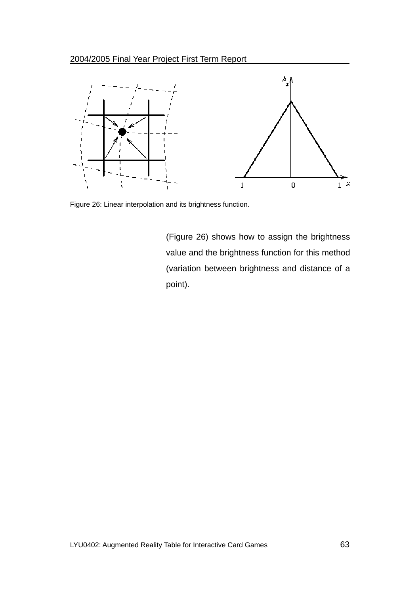

Figure 26: Linear interpolation and its brightness function.

(Figure 26) shows how to assign the brightness value and the brightness function for this method (variation between brightness and distance of a point).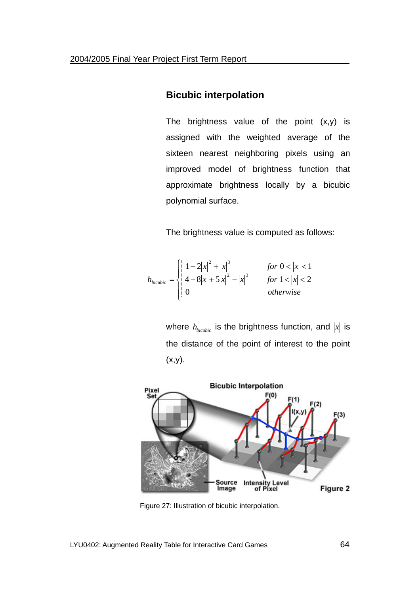### **Bicubic interpolation**

The brightness value of the point  $(x,y)$  is assigned with the weighted average of the sixteen nearest neighboring pixels using an improved model of brightness function that approximate brightness locally by a bicubic polynomial surface.

The brightness value is computed as follows:

$$
h_{bicubic} = \begin{cases} \n\left| \begin{array}{cc} 1 - 2|x|^2 + |x|^3 & \text{for } 0 < |x| < 1 \\ \n4 - 8|x| + 5|x|^2 - |x|^3 & \text{for } 1 < |x| < 2 \\ \n0 & \text{otherwise} \n\end{array} \right. & \text{otherwise} \n\end{cases}
$$

where  $h_{bi cubic}$  is the brightness function, and  $|x|$  is the distance of the point of interest to the point  $(x,y)$ .



Figure 27: Illustration of bicubic interpolation.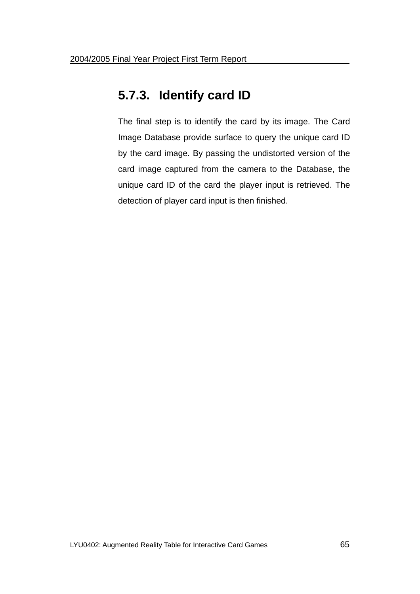# **5.7.3. Identify card ID**

The final step is to identify the card by its image. The Card Image Database provide surface to query the unique card ID by the card image. By passing the undistorted version of the card image captured from the camera to the Database, the unique card ID of the card the player input is retrieved. The detection of player card input is then finished.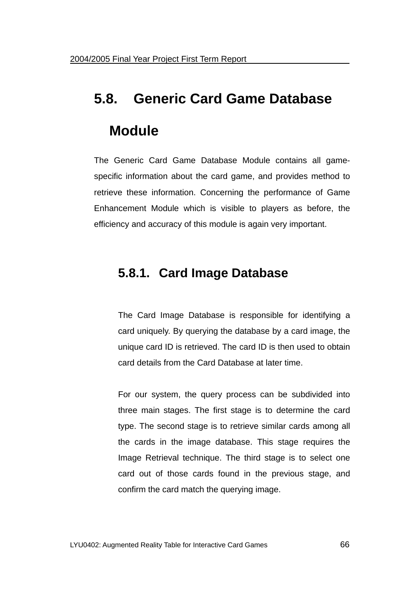# **5.8. Generic Card Game Database Module**

The Generic Card Game Database Module contains all gamespecific information about the card game, and provides method to retrieve these information. Concerning the performance of Game Enhancement Module which is visible to players as before, the efficiency and accuracy of this module is again very important.

# **5.8.1. Card Image Database**

The Card Image Database is responsible for identifying a card uniquely. By querying the database by a card image, the unique card ID is retrieved. The card ID is then used to obtain card details from the Card Database at later time.

For our system, the query process can be subdivided into three main stages. The first stage is to determine the card type. The second stage is to retrieve similar cards among all the cards in the image database. This stage requires the Image Retrieval technique. The third stage is to select one card out of those cards found in the previous stage, and confirm the card match the querying image.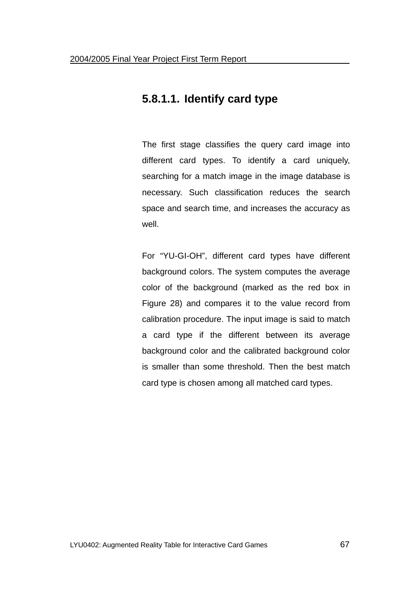### **5.8.1.1. Identify card type**

The first stage classifies the query card image into different card types. To identify a card uniquely, searching for a match image in the image database is necessary. Such classification reduces the search space and search time, and increases the accuracy as well.

For "YU-GI-OH", different card types have different background colors. The system computes the average color of the background (marked as the red box in Figure 28) and compares it to the value record from calibration procedure. The input image is said to match a card type if the different between its average background color and the calibrated background color is smaller than some threshold. Then the best match card type is chosen among all matched card types.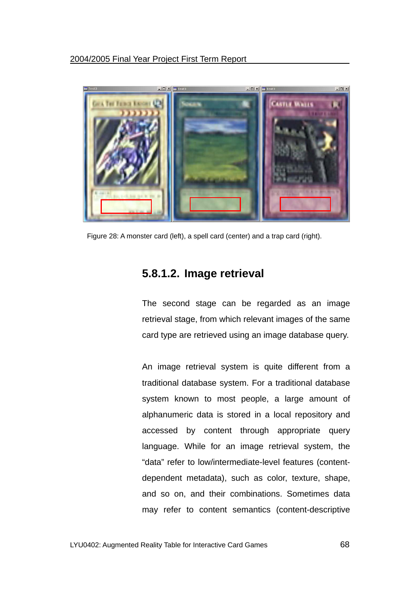

Figure 28: A monster card (left), a spell card (center) and a trap card (right).

### **5.8.1.2. Image retrieval**

The second stage can be regarded as an image retrieval stage, from which relevant images of the same card type are retrieved using an image database query.

An image retrieval system is quite different from a traditional database system. For a traditional database system known to most people, a large amount of alphanumeric data is stored in a local repository and accessed by content through appropriate query language. While for an image retrieval system, the "data" refer to low/intermediate-level features (contentdependent metadata), such as color, texture, shape, and so on, and their combinations. Sometimes data may refer to content semantics (content-descriptive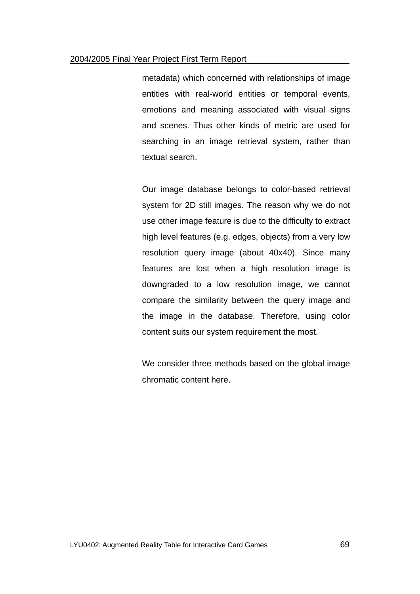#### 2004/2005 Final Year Project First Term Report

metadata) which concerned with relationships of image entities with real-world entities or temporal events, emotions and meaning associated with visual signs and scenes. Thus other kinds of metric are used for searching in an image retrieval system, rather than textual search.

Our image database belongs to color-based retrieval system for 2D still images. The reason why we do not use other image feature is due to the difficulty to extract high level features (e.g. edges, objects) from a very low resolution query image (about 40x40). Since many features are lost when a high resolution image is downgraded to a low resolution image, we cannot compare the similarity between the query image and the image in the database. Therefore, using color content suits our system requirement the most.

We consider three methods based on the global image chromatic content here.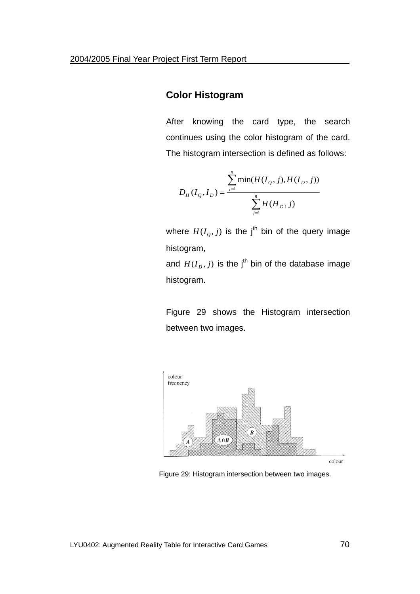### **Color Histogram**

After knowing the card type, the search continues using the color histogram of the card. The histogram intersection is defined as follows:

$$
D_{H}(I_{Q},I_{D}) = \frac{\sum_{j=1}^{n} \min(H(I_{Q},j),H(I_{D},j))}{\sum_{j=1}^{n} H(H_{D},j)}
$$

where  $H(I_o, j)$  is the j<sup>th</sup> bin of the query image histogram,

and  $H(I_D, j)$  is the j<sup>th</sup> bin of the database image histogram.

Figure 29 shows the Histogram intersection between two images.



Figure 29: Histogram intersection between two images.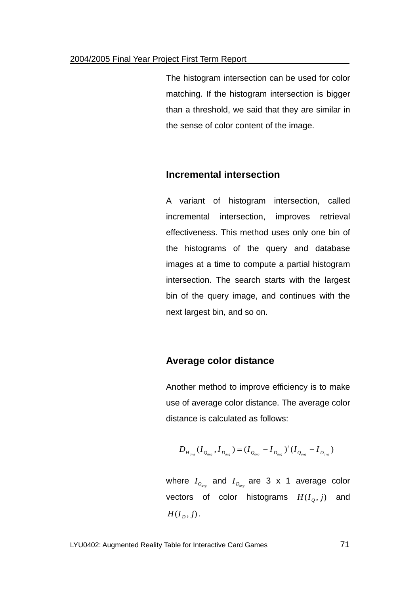The histogram intersection can be used for color matching. If the histogram intersection is bigger than a threshold, we said that they are similar in the sense of color content of the image.

#### **Incremental intersection**

A variant of histogram intersection, called incremental intersection, improves retrieval effectiveness. This method uses only one bin of the histograms of the query and database images at a time to compute a partial histogram intersection. The search starts with the largest bin of the query image, and continues with the next largest bin, and so on.

#### **Average color distance**

Another method to improve efficiency is to make use of average color distance. The average color distance is calculated as follows:

$$
D_{H_{avg}}(I_{Q_{avg}}, I_{D_{avg}}) = (I_{Q_{avg}} - I_{D_{avg}})^t (I_{Q_{avg}} - I_{D_{avg}})
$$

where  $I_{Q_{\text{avg}}}$  and  $I_{D_{\text{avg}}}$  are 3 x 1 average color vectors of color histograms  $H(I_o, j)$  and  $H(I_n, j)$ .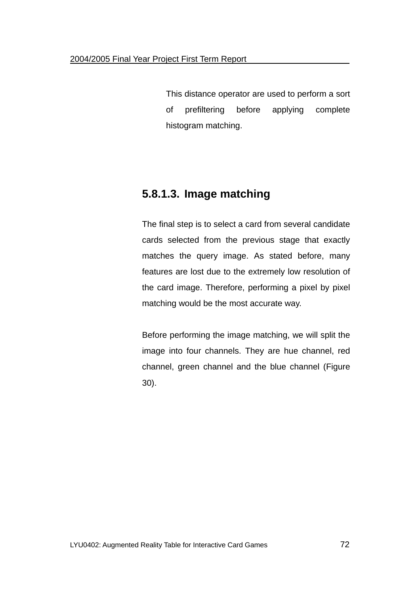This distance operator are used to perform a sort of prefiltering before applying complete histogram matching.

### **5.8.1.3. Image matching**

The final step is to select a card from several candidate cards selected from the previous stage that exactly matches the query image. As stated before, many features are lost due to the extremely low resolution of the card image. Therefore, performing a pixel by pixel matching would be the most accurate way.

Before performing the image matching, we will split the image into four channels. They are hue channel, red channel, green channel and the blue channel (Figure 30).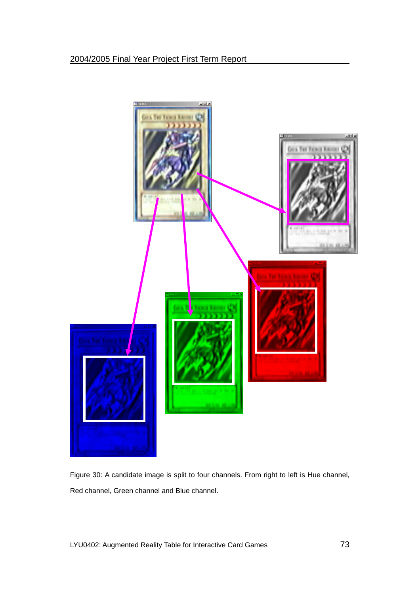

Figure 30: A candidate image is split to four channels. From right to left is Hue channel, Red channel, Green channel and Blue channel.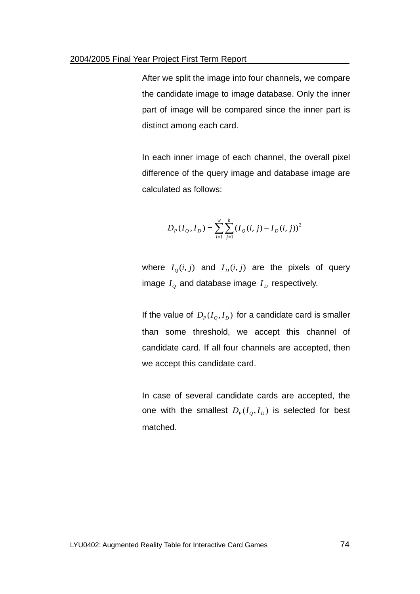After we split the image into four channels, we compare the candidate image to image database. Only the inner part of image will be compared since the inner part is distinct among each card.

In each inner image of each channel, the overall pixel difference of the query image and database image are calculated as follows:

$$
D_{P}(I_{Q}, I_{D}) = \sum_{i=1}^{w} \sum_{j=1}^{h} (I_{Q}(i, j) - I_{D}(i, j))^{2}
$$

where  $I_o(i, j)$  and  $I_p(i, j)$  are the pixels of query image  $I<sub>o</sub>$  and database image  $I<sub>D</sub>$  respectively.

If the value of  $D_p(I_q, I_p)$  for a candidate card is smaller than some threshold, we accept this channel of candidate card. If all four channels are accepted, then we accept this candidate card.

In case of several candidate cards are accepted, the one with the smallest  $D_p (I_o, I_p)$  is selected for best matched.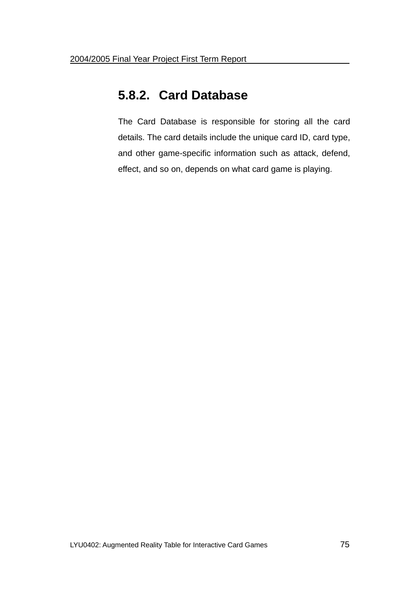## **5.8.2. Card Database**

The Card Database is responsible for storing all the card details. The card details include the unique card ID, card type, and other game-specific information such as attack, defend, effect, and so on, depends on what card game is playing.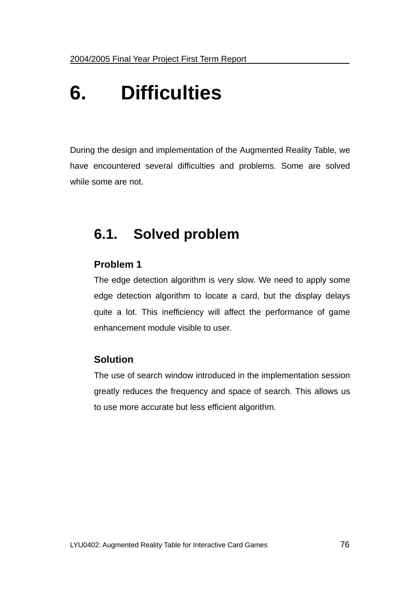# **6. Difficulties**

During the design and implementation of the Augmented Reality Table, we have encountered several difficulties and problems. Some are solved while some are not.

# **6.1. Solved problem**

### **Problem 1**

The edge detection algorithm is very slow. We need to apply some edge detection algorithm to locate a card, but the display delays quite a lot. This inefficiency will affect the performance of game enhancement module visible to user.

## **Solution**

The use of search window introduced in the implementation session greatly reduces the frequency and space of search. This allows us to use more accurate but less efficient algorithm.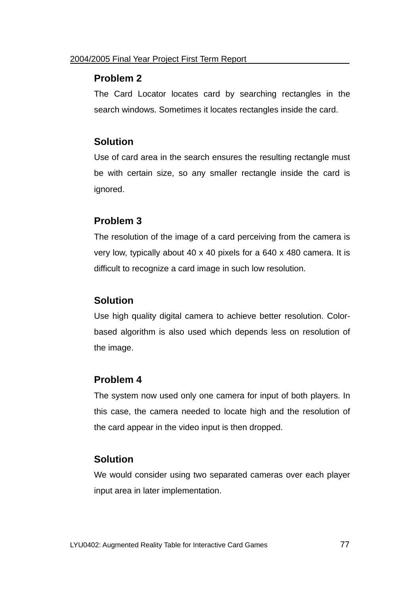### **Problem 2**

The Card Locator locates card by searching rectangles in the search windows. Sometimes it locates rectangles inside the card.

### **Solution**

Use of card area in the search ensures the resulting rectangle must be with certain size, so any smaller rectangle inside the card is ignored.

### **Problem 3**

The resolution of the image of a card perceiving from the camera is very low, typically about 40 x 40 pixels for a 640 x 480 camera. It is difficult to recognize a card image in such low resolution.

## **Solution**

Use high quality digital camera to achieve better resolution. Colorbased algorithm is also used which depends less on resolution of the image.

### **Problem 4**

The system now used only one camera for input of both players. In this case, the camera needed to locate high and the resolution of the card appear in the video input is then dropped.

### **Solution**

We would consider using two separated cameras over each player input area in later implementation.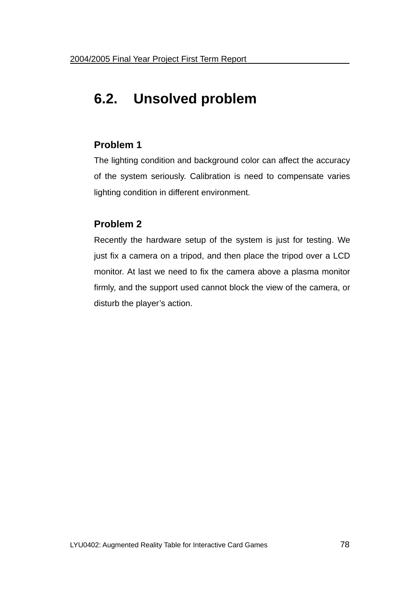# **6.2. Unsolved problem**

## **Problem 1**

The lighting condition and background color can affect the accuracy of the system seriously. Calibration is need to compensate varies lighting condition in different environment.

## **Problem 2**

Recently the hardware setup of the system is just for testing. We just fix a camera on a tripod, and then place the tripod over a LCD monitor. At last we need to fix the camera above a plasma monitor firmly, and the support used cannot block the view of the camera, or disturb the player's action.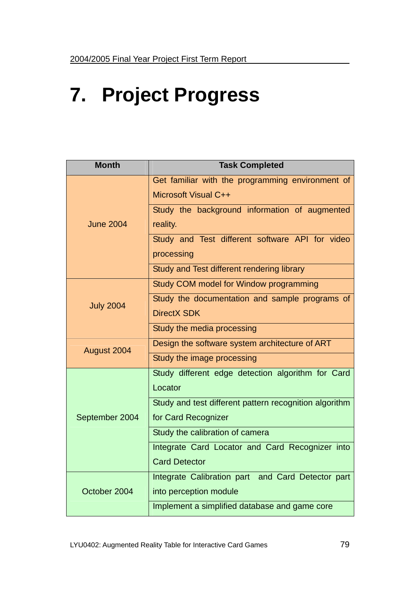# **7. Project Progress**

| <b>Month</b>     | <b>Task Completed</b>                                  |
|------------------|--------------------------------------------------------|
| <b>June 2004</b> | Get familiar with the programming environment of       |
|                  | Microsoft Visual C++                                   |
|                  | Study the background information of augmented          |
|                  | reality.                                               |
|                  | Study and Test different software API for video        |
|                  | processing                                             |
|                  | Study and Test different rendering library             |
| <b>July 2004</b> | Study COM model for Window programming                 |
|                  | Study the documentation and sample programs of         |
|                  | <b>DirectX SDK</b>                                     |
|                  | Study the media processing                             |
| August 2004      | Design the software system architecture of ART         |
|                  | Study the image processing                             |
| September 2004   | Study different edge detection algorithm for Card      |
|                  | Locator                                                |
|                  | Study and test different pattern recognition algorithm |
|                  | for Card Recognizer                                    |
|                  | Study the calibration of camera                        |
|                  | Integrate Card Locator and Card Recognizer into        |
|                  | <b>Card Detector</b>                                   |
| October 2004     | Integrate Calibration part and Card Detector part      |
|                  | into perception module                                 |
|                  | Implement a simplified database and game core          |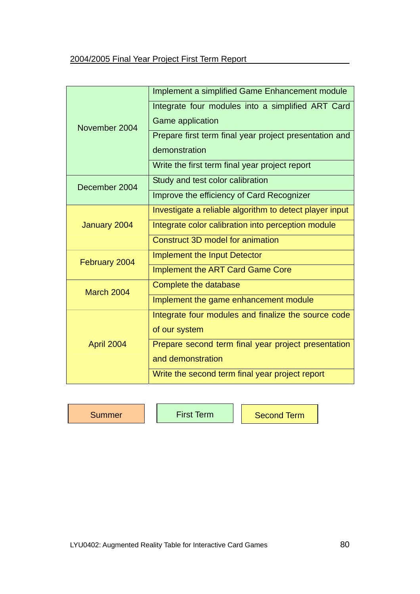| November 2004 | Implement a simplified Game Enhancement module          |
|---------------|---------------------------------------------------------|
|               | Integrate four modules into a simplified ART Card       |
|               | <b>Game application</b>                                 |
|               | Prepare first term final year project presentation and  |
|               | demonstration                                           |
|               | Write the first term final year project report          |
| December 2004 | Study and test color calibration                        |
|               | Improve the efficiency of Card Recognizer               |
| January 2004  | Investigate a reliable algorithm to detect player input |
|               | Integrate color calibration into perception module      |
|               | Construct 3D model for animation                        |
| February 2004 | <b>Implement the Input Detector</b>                     |
|               | <b>Implement the ART Card Game Core</b>                 |
| March 2004    | Complete the database                                   |
|               | Implement the game enhancement module                   |
| April 2004    | Integrate four modules and finalize the source code     |
|               | of our system                                           |
|               | Prepare second term final year project presentation     |
|               | and demonstration                                       |
|               | Write the second term final year project report         |

Summer | First Term | Second Term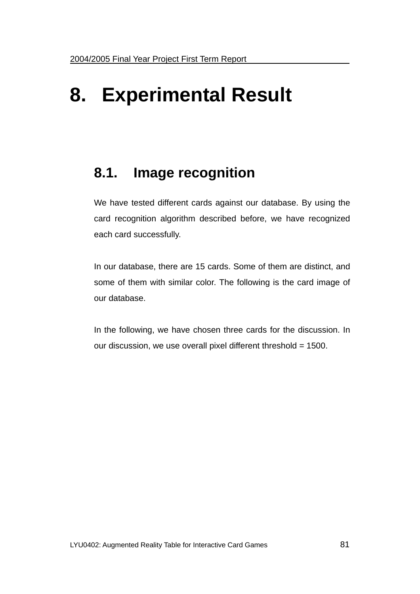# **8. Experimental Result**

# **8.1. Image recognition**

We have tested different cards against our database. By using the card recognition algorithm described before, we have recognized each card successfully.

In our database, there are 15 cards. Some of them are distinct, and some of them with similar color. The following is the card image of our database.

In the following, we have chosen three cards for the discussion. In our discussion, we use overall pixel different threshold = 1500.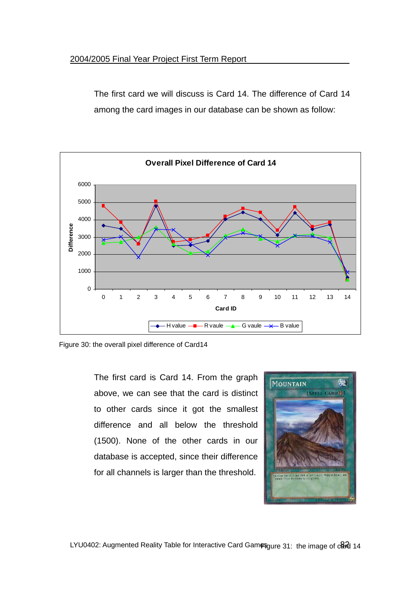The first card we will discuss is Card 14. The difference of Card 14 among the card images in our database can be shown as follow:



Figure 30: the overall pixel difference of Card14

The first card is Card 14. From the graph above, we can see that the card is distinct to other cards since it got the smallest difference and all below the threshold (1500). None of the other cards in our database is accepted, since their difference for all channels is larger than the threshold.



LYU0402: Augmented Reality Table for Interactive Card Gamesgure 31: the image of card 14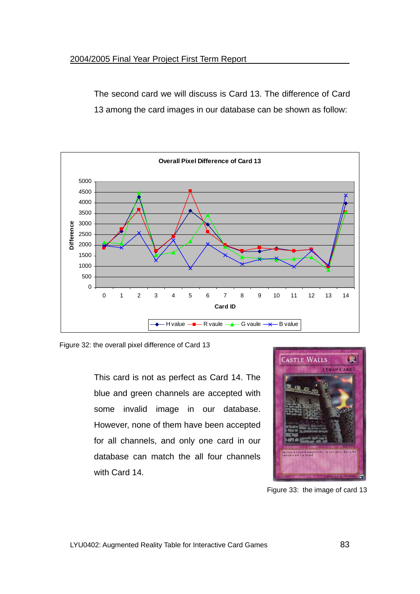The second card we will discuss is Card 13. The difference of Card 13 among the card images in our database can be shown as follow:



Figure 32: the overall pixel difference of Card 13

This card is not as perfect as Card 14. The blue and green channels are accepted with some invalid image in our database. However, none of them have been accepted for all channels, and only one card in our database can match the all four channels with Card 14.



Figure 33: the image of card 13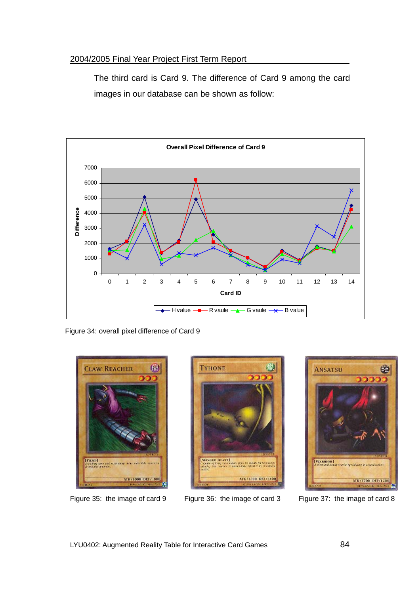The third card is Card 9. The difference of Card 9 among the card images in our database can be shown as follow:



Figure 34: overall pixel difference of Card 9



Figure 35: the image of card 9 Figure 36: the image of card 3 Figure 37: the image of card 8



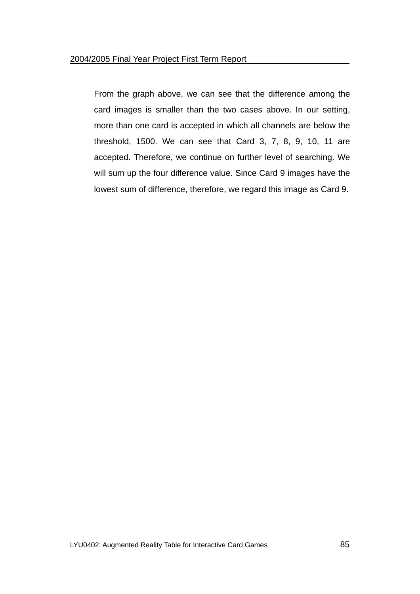From the graph above, we can see that the difference among the card images is smaller than the two cases above. In our setting, more than one card is accepted in which all channels are below the threshold, 1500. We can see that Card 3, 7, 8, 9, 10, 11 are accepted. Therefore, we continue on further level of searching. We will sum up the four difference value. Since Card 9 images have the lowest sum of difference, therefore, we regard this image as Card 9.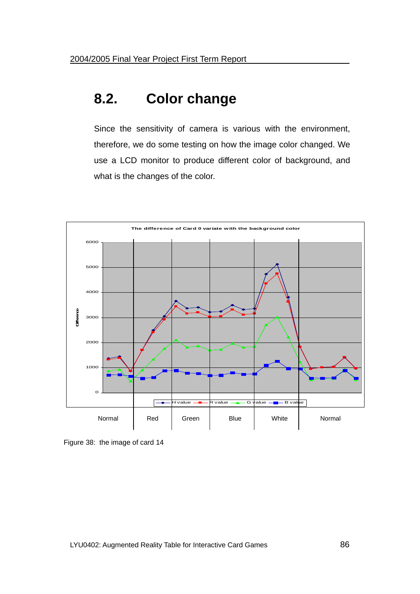## **8.2. Color change**

Since the sensitivity of camera is various with the environment, therefore, we do some testing on how the image color changed. We use a LCD monitor to produce different color of background, and what is the changes of the color.



Figure 38: the image of card 14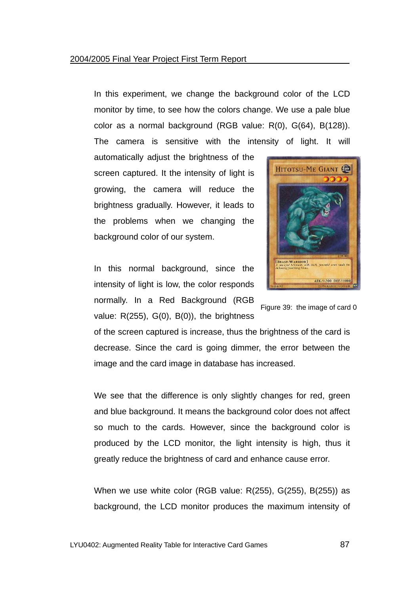In this experiment, we change the background color of the LCD monitor by time, to see how the colors change. We use a pale blue color as a normal background (RGB value: R(0), G(64), B(128)). The camera is sensitive with the intensity of light. It will

automatically adjust the brightness of the screen captured. It the intensity of light is growing, the camera will reduce the brightness gradually. However, it leads to the problems when we changing the background color of our system.

In this normal background, since the intensity of light is low, the color responds normally. In a Red Background (RGB value:  $R(255)$ ,  $G(0)$ ,  $B(0)$ ), the brightness



Figure 39: the image of card 0

of the screen captured is increase, thus the brightness of the card is decrease. Since the card is going dimmer, the error between the image and the card image in database has increased.

We see that the difference is only slightly changes for red, green and blue background. It means the background color does not affect so much to the cards. However, since the background color is produced by the LCD monitor, the light intensity is high, thus it greatly reduce the brightness of card and enhance cause error.

When we use white color (RGB value: R(255), G(255), B(255)) as background, the LCD monitor produces the maximum intensity of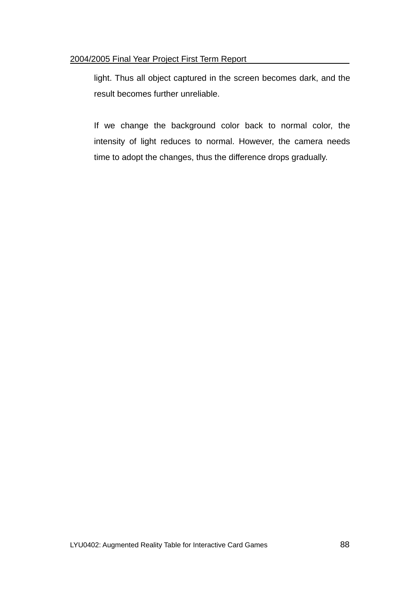light. Thus all object captured in the screen becomes dark, and the result becomes further unreliable.

If we change the background color back to normal color, the intensity of light reduces to normal. However, the camera needs time to adopt the changes, thus the difference drops gradually.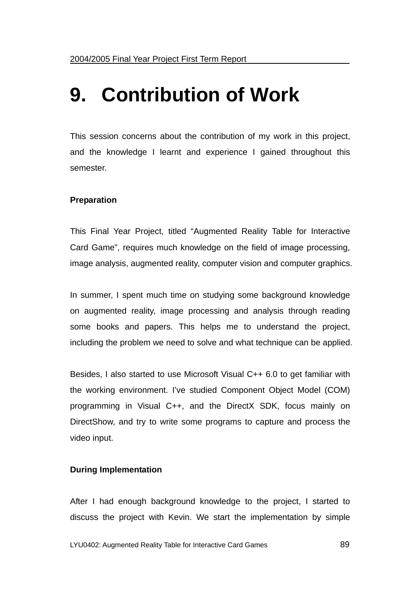# **9. Contribution of Work**

This session concerns about the contribution of my work in this project, and the knowledge I learnt and experience I gained throughout this semester.

### **Preparation**

This Final Year Project, titled "Augmented Reality Table for Interactive Card Game", requires much knowledge on the field of image processing, image analysis, augmented reality, computer vision and computer graphics.

In summer, I spent much time on studying some background knowledge on augmented reality, image processing and analysis through reading some books and papers. This helps me to understand the project, including the problem we need to solve and what technique can be applied.

Besides, I also started to use Microsoft Visual C++ 6.0 to get familiar with the working environment. I've studied Component Object Model (COM) programming in Visual C++, and the DirectX SDK, focus mainly on DirectShow, and try to write some programs to capture and process the video input.

### **During Implementation**

After I had enough background knowledge to the project, I started to discuss the project with Kevin. We start the implementation by simple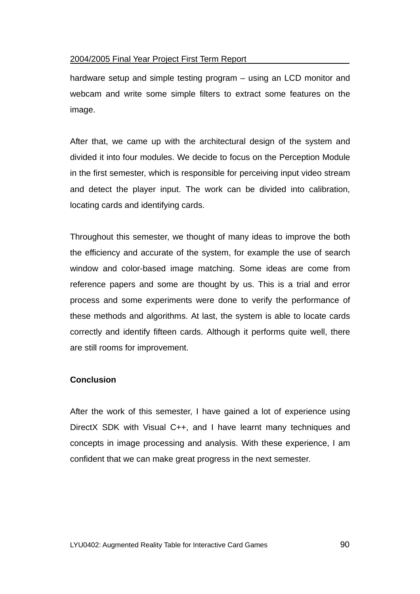hardware setup and simple testing program – using an LCD monitor and webcam and write some simple filters to extract some features on the image.

After that, we came up with the architectural design of the system and divided it into four modules. We decide to focus on the Perception Module in the first semester, which is responsible for perceiving input video stream and detect the player input. The work can be divided into calibration, locating cards and identifying cards.

Throughout this semester, we thought of many ideas to improve the both the efficiency and accurate of the system, for example the use of search window and color-based image matching. Some ideas are come from reference papers and some are thought by us. This is a trial and error process and some experiments were done to verify the performance of these methods and algorithms. At last, the system is able to locate cards correctly and identify fifteen cards. Although it performs quite well, there are still rooms for improvement.

### **Conclusion**

After the work of this semester, I have gained a lot of experience using DirectX SDK with Visual C++, and I have learnt many techniques and concepts in image processing and analysis. With these experience, I am confident that we can make great progress in the next semester.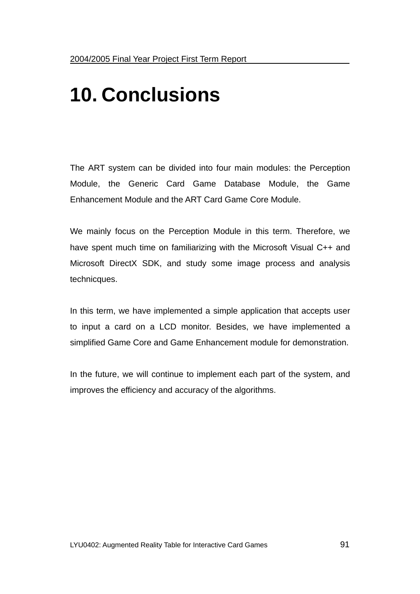# **10. Conclusions**

The ART system can be divided into four main modules: the Perception Module, the Generic Card Game Database Module, the Game Enhancement Module and the ART Card Game Core Module.

We mainly focus on the Perception Module in this term. Therefore, we have spent much time on familiarizing with the Microsoft Visual C++ and Microsoft DirectX SDK, and study some image process and analysis technicques.

In this term, we have implemented a simple application that accepts user to input a card on a LCD monitor. Besides, we have implemented a simplified Game Core and Game Enhancement module for demonstration.

In the future, we will continue to implement each part of the system, and improves the efficiency and accuracy of the algorithms.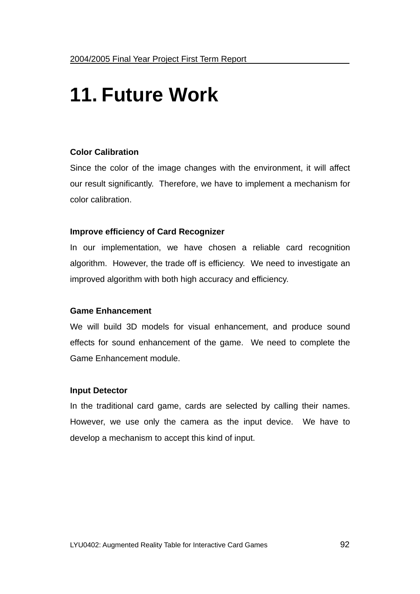# **11. Future Work**

### **Color Calibration**

Since the color of the image changes with the environment, it will affect our result significantly. Therefore, we have to implement a mechanism for color calibration.

#### **Improve efficiency of Card Recognizer**

In our implementation, we have chosen a reliable card recognition algorithm. However, the trade off is efficiency. We need to investigate an improved algorithm with both high accuracy and efficiency.

### **Game Enhancement**

We will build 3D models for visual enhancement, and produce sound effects for sound enhancement of the game. We need to complete the Game Enhancement module.

#### **Input Detector**

In the traditional card game, cards are selected by calling their names. However, we use only the camera as the input device. We have to develop a mechanism to accept this kind of input.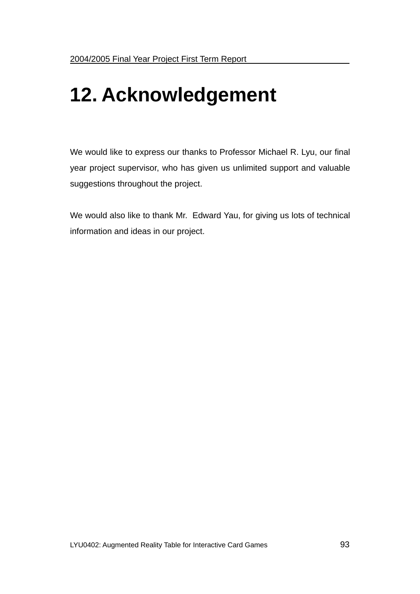# **12. Acknowledgement**

We would like to express our thanks to Professor Michael R. Lyu, our final year project supervisor, who has given us unlimited support and valuable suggestions throughout the project.

We would also like to thank Mr. Edward Yau, for giving us lots of technical information and ideas in our project.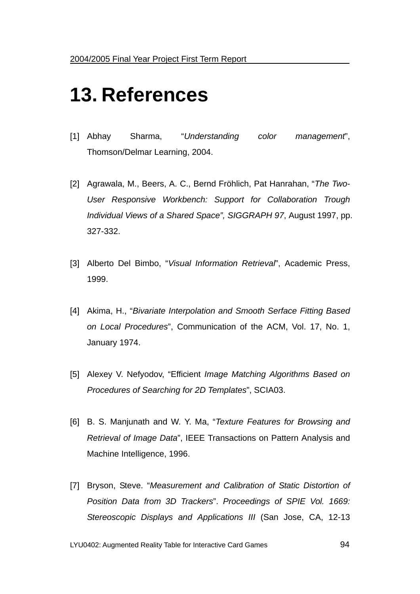# **13. References**

- [1] Abhay Sharma, "*Understanding color management*", Thomson/Delmar Learning, 2004.
- [2] Agrawala, M., Beers, A. C., Bernd Fröhlich, Pat Hanrahan, "*The Two-User Responsive Workbench: Support for Collaboration Trough Individual Views of a Shared Space", SIGGRAPH 97*, August 1997, pp. 327-332.
- [3] Alberto Del Bimbo, "*Visual Information Retrieval*", Academic Press, 1999.
- [4] Akima, H., "*Bivariate Interpolation and Smooth Serface Fitting Based on Local Procedures*", Communication of the ACM, Vol. 17, No. 1, January 1974.
- [5] Alexey V. Nefyodov, "Efficient *Image Matching Algorithms Based on Procedures of Searching for 2D Templates*", SCIA03.
- [6] B. S. Manjunath and W. Y. Ma, "*Texture Features for Browsing and Retrieval of Image Data*", IEEE Transactions on Pattern Analysis and Machine Intelligence, 1996.
- [7] Bryson, Steve. "*Measurement and Calibration of Static Distortion of Position Data from 3D Trackers*". *Proceedings of SPIE Vol. 1669: Stereoscopic Displays and Applications III* (San Jose, CA, 12-13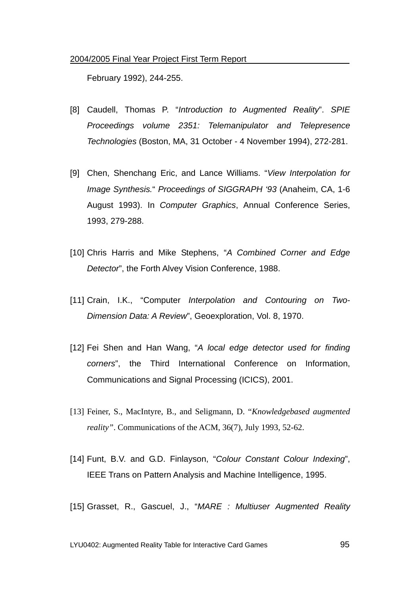February 1992), 244-255.

- [8] Caudell, Thomas P. "*Introduction to Augmented Reality*". *SPIE Proceedings volume 2351: Telemanipulator and Telepresence Technologies* (Boston, MA, 31 October - 4 November 1994), 272-281.
- [9] Chen, Shenchang Eric, and Lance Williams. "*View Interpolation for Image Synthesis.*" *Proceedings of SIGGRAPH '93* (Anaheim, CA, 1-6 August 1993). In *Computer Graphics*, Annual Conference Series, 1993, 279-288.
- [10] Chris Harris and Mike Stephens, "*A Combined Corner and Edge Detector*", the Forth Alvey Vision Conference, 1988.
- [11] Crain, I.K., "Computer *Interpolation and Contouring on Two-Dimension Data: A Review*", Geoexploration, Vol. 8, 1970.
- [12] Fei Shen and Han Wang, "*A local edge detector used for finding corners*", the Third International Conference on Information, Communications and Signal Processing (ICICS), 2001.
- [13] Feiner, S., MacIntyre, B., and Seligmann, D. "*Knowledgebased augmented reality"*. Communications of the ACM, 36(7), July 1993, 52-62.
- [14] Funt, B.V. and G.D. Finlayson, "*Colour Constant Colour Indexing*", IEEE Trans on Pattern Analysis and Machine Intelligence, 1995.
- [15] Grasset, R., Gascuel, J., "*MARE : Multiuser Augmented Reality*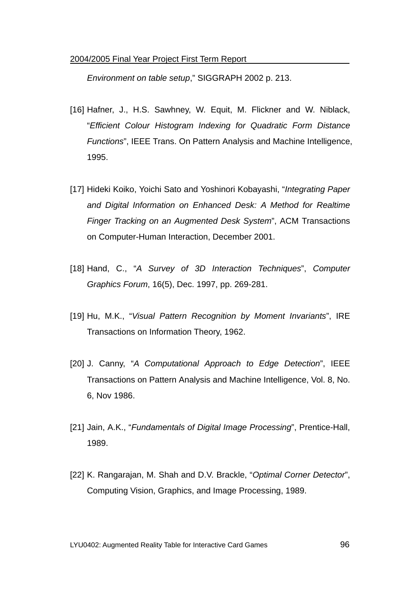*Environment on table setup*," SIGGRAPH 2002 p. 213.

- [16] Hafner, J., H.S. Sawhney, W. Equit, M. Flickner and W. Niblack, "*Efficient Colour Histogram Indexing for Quadratic Form Distance Functions*", IEEE Trans. On Pattern Analysis and Machine Intelligence, 1995.
- [17] Hideki Koiko, Yoichi Sato and Yoshinori Kobayashi, "*Integrating Paper and Digital Information on Enhanced Desk: A Method for Realtime Finger Tracking on an Augmented Desk System*", ACM Transactions on Computer-Human Interaction, December 2001.
- [18] Hand, C., "*A Survey of 3D Interaction Techniques*", *Computer Graphics Forum*, 16(5), Dec. 1997, pp. 269-281.
- [19] Hu, M.K., "*Visual Pattern Recognition by Moment Invariants*", IRE Transactions on Information Theory, 1962.
- [20] J. Canny, "*A Computational Approach to Edge Detection*", IEEE Transactions on Pattern Analysis and Machine Intelligence, Vol. 8, No. 6, Nov 1986.
- [21] Jain, A.K., "*Fundamentals of Digital Image Processing*", Prentice-Hall, 1989.
- [22] K. Rangarajan, M. Shah and D.V. Brackle, "*Optimal Corner Detector*", Computing Vision, Graphics, and Image Processing, 1989.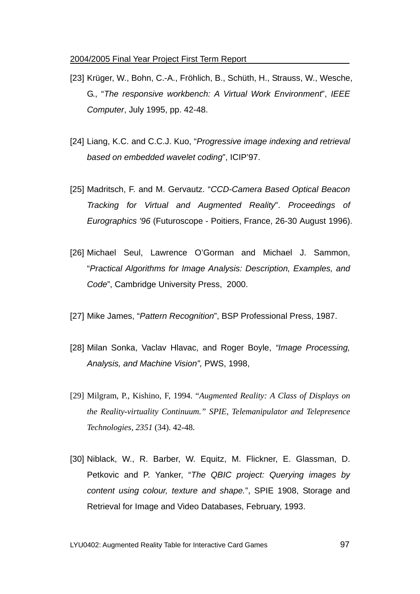- [23] Krüger, W., Bohn, C.-A., Fröhlich, B., Schüth, H., Strauss, W., Wesche, G., "*The responsive workbench: A Virtual Work Environment*", *IEEE Computer*, July 1995, pp. 42-48.
- [24] Liang, K.C. and C.C.J. Kuo, "*Progressive image indexing and retrieval based on embedded wavelet coding*", ICIP'97.
- [25] Madritsch, F. and M. Gervautz. "*CCD-Camera Based Optical Beacon Tracking for Virtual and Augmented Reality*". *Proceedings of Eurographics '96* (Futuroscope - Poitiers, France, 26-30 August 1996).
- [26] Michael Seul, Lawrence O'Gorman and Michael J. Sammon, "*Practical Algorithms for Image Analysis: Description, Examples, and Code*", Cambridge University Press, 2000.
- [27] Mike James, "*Pattern Recognition*", BSP Professional Press, 1987.
- [28] Milan Sonka, Vaclav Hlavac, and Roger Boyle, *"Image Processing, Analysis, and Machine Vision",* PWS, 1998,
- [29] Milgram, P., Kishino, F, 1994. "*Augmented Reality: A Class of Displays on the Reality-virtuality Continuum." SPIE, Telemanipulator and Telepresence Technologies*, *2351* (34). 42-48.
- [30] Niblack, W., R. Barber, W. Equitz, M. Flickner, E. Glassman, D. Petkovic and P. Yanker, "*The QBIC project: Querying images by content using colour, texture and shape.*", SPIE 1908, Storage and Retrieval for Image and Video Databases, February, 1993.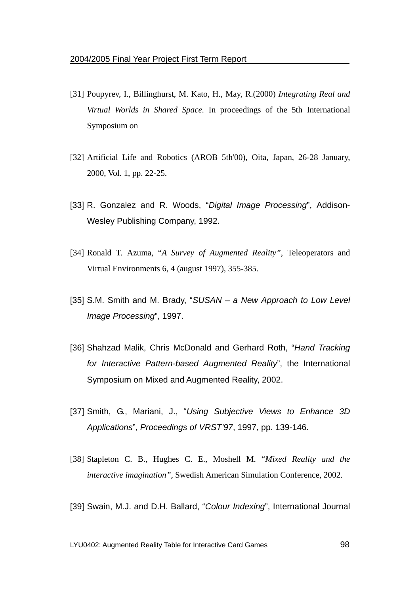- [31] Poupyrev, I., Billinghurst, M. Kato, H., May, R.(2000) *Integrating Real and Virtual Worlds in Shared Space.* In proceedings of the 5th International Symposium on
- [32] Artificial Life and Robotics (AROB 5th'00), Oita, Japan, 26-28 January, 2000, Vol. 1, pp. 22-25.
- [33] R. Gonzalez and R. Woods, "*Digital Image Processing*", Addison-Wesley Publishing Company, 1992.
- [34] Ronald T. Azuma, "*A Survey of Augmented Reality"*, Teleoperators and Virtual Environments 6, 4 (august 1997), 355-385.
- [35] S.M. Smith and M. Brady, "*SUSAN a New Approach to Low Level Image Processing*", 1997.
- [36] Shahzad Malik, Chris McDonald and Gerhard Roth, "*Hand Tracking for Interactive Pattern-based Augmented Reality*", the International Symposium on Mixed and Augmented Reality, 2002.
- [37] Smith, G., Mariani, J., "*Using Subjective Views to Enhance 3D Applications*", *Proceedings of VRST'97*, 1997, pp. 139-146.
- [38] Stapleton C. B., Hughes C. E., Moshell M. "*Mixed Reality and the interactive imagination",* Swedish American Simulation Conference, 2002.
- [39] Swain, M.J. and D.H. Ballard, "*Colour Indexing*", International Journal